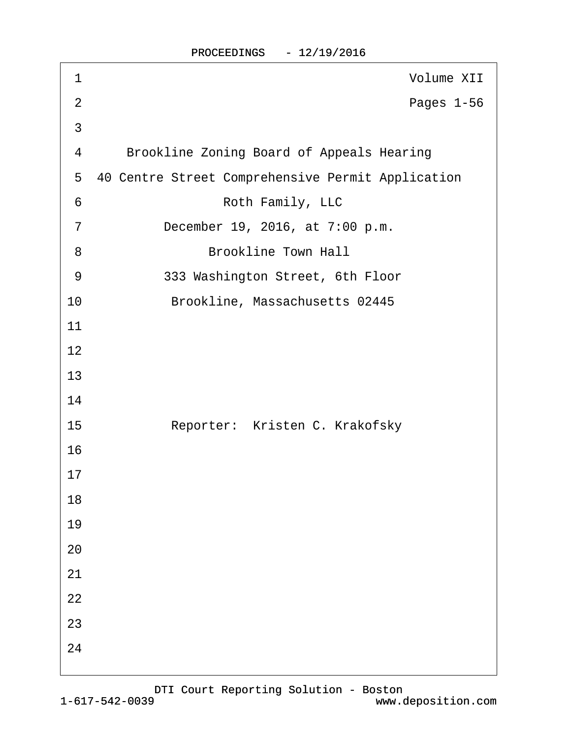| 1              | Volume XII                                        |
|----------------|---------------------------------------------------|
| $\overline{2}$ | Pages 1-56                                        |
| 3              |                                                   |
| 4              | <b>Brookline Zoning Board of Appeals Hearing</b>  |
| 5              | 40 Centre Street Comprehensive Permit Application |
| 6              | Roth Family, LLC                                  |
| $\overline{7}$ | December 19, 2016, at 7:00 p.m.                   |
| 8              | <b>Brookline Town Hall</b>                        |
| 9              | 333 Washington Street, 6th Floor                  |
| 10             | Brookline, Massachusetts 02445                    |
| 11             |                                                   |
| 12             |                                                   |
| 13             |                                                   |
| 14             |                                                   |
| 15             | Reporter: Kristen C. Krakofsky                    |
| 16             |                                                   |
| 17             |                                                   |
| 18             |                                                   |
| 19             |                                                   |
| 20             |                                                   |
| 21             |                                                   |
| 22             |                                                   |
| 23             |                                                   |
| 24             |                                                   |
|                |                                                   |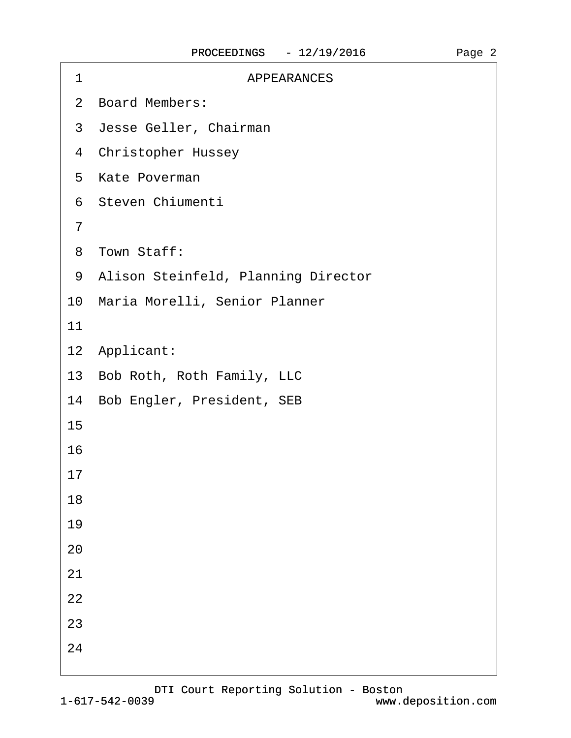| <b>APPEARANCES</b><br>1               |  |
|---------------------------------------|--|
| 2 Board Members:                      |  |
| 3 Jesse Geller, Chairman              |  |
| 4 Christopher Hussey                  |  |
| 5 Kate Poverman                       |  |
| 6 Steven Chiumenti                    |  |
| $\overline{7}$                        |  |
| 8 Town Staff:                         |  |
| 9 Alison Steinfeld, Planning Director |  |
| 10 Maria Morelli, Senior Planner      |  |
| 11                                    |  |
| 12 Applicant:                         |  |
| 13 Bob Roth, Roth Family, LLC         |  |
| 14 Bob Engler, President, SEB         |  |
| 15                                    |  |
| 16                                    |  |
| 17                                    |  |
| 18                                    |  |
| 19                                    |  |
| 20                                    |  |
| 21                                    |  |
| 22                                    |  |
| 23                                    |  |
| 24                                    |  |
|                                       |  |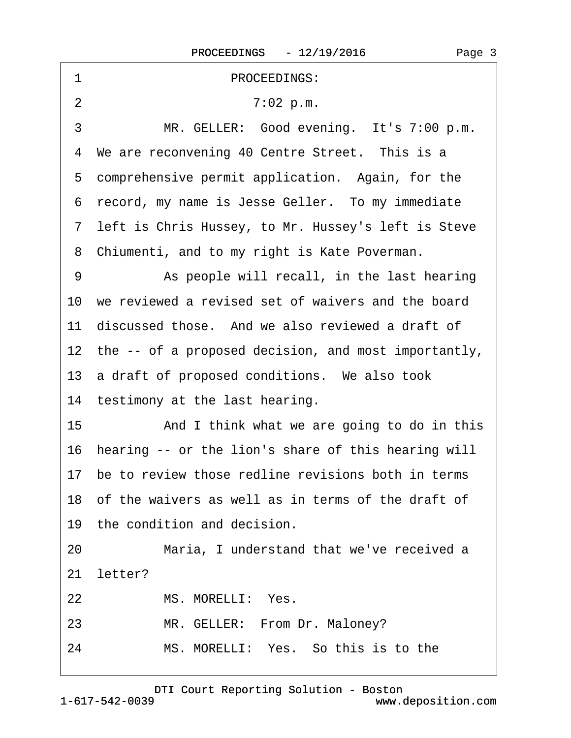<span id="page-2-0"></span>

| 1              | PROCEEDINGS:                                            |
|----------------|---------------------------------------------------------|
| $\overline{2}$ | 7:02 p.m.                                               |
| 3              | MR. GELLER: Good evening. It's 7:00 p.m.                |
|                | 4 We are reconvening 40 Centre Street. This is a        |
|                | 5 comprehensive permit application. Again, for the      |
|                | 6 record, my name is Jesse Geller. To my immediate      |
|                | 7 left is Chris Hussey, to Mr. Hussey's left is Steve   |
|                | 8 Chiumenti, and to my right is Kate Poverman.          |
| 9              | As people will recall, in the last hearing              |
|                | 10 we reviewed a revised set of waivers and the board   |
|                | 11 discussed those. And we also reviewed a draft of     |
|                | 12 the -- of a proposed decision, and most importantly, |
|                | 13 a draft of proposed conditions. We also took         |
|                | 14 testimony at the last hearing.                       |
| 15             | And I think what we are going to do in this             |
|                | 16 hearing -- or the lion's share of this hearing will  |
|                | 17 be to review those redline revisions both in terms   |
|                | 18 of the waivers as well as in terms of the draft of   |
|                | 19 the condition and decision.                          |
| 20             | Maria, I understand that we've received a               |
| 21             | letter?                                                 |
| 22             | MS. MORELLI: Yes.                                       |
| 23             | MR. GELLER: From Dr. Maloney?                           |
| 24             | MS, MORELLI: Yes. So this is to the                     |
|                |                                                         |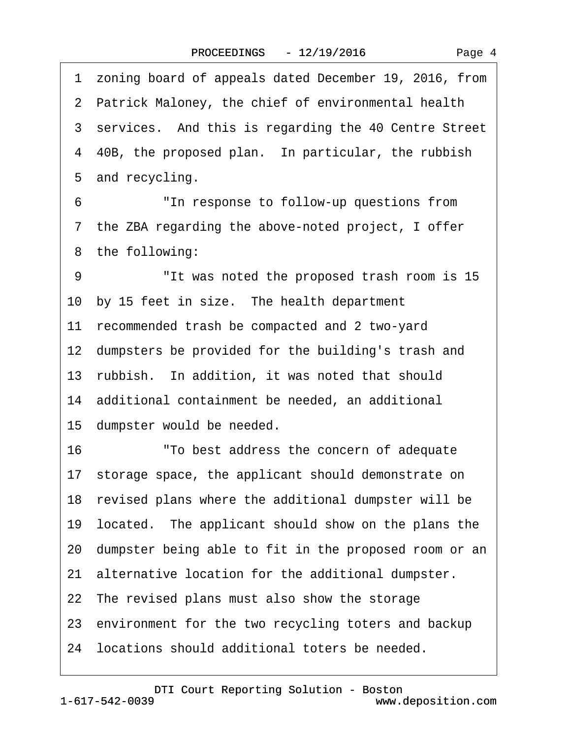<span id="page-3-0"></span>·1· zoning board of appeals dated December 19, 2016, from 2 Patrick Maloney, the chief of environmental health 3 services. And this is regarding the 40 Centre Street 4 40B, the proposed plan. In particular, the rubbish 5 and recycling. 6 The response to follow-up questions from 7 the ZBA regarding the above-noted project, I offer 8 the following: 9 The vas noted the proposed trash room is 15 10 by 15 feet in size. The health department 11 recommended trash be compacted and 2 two-yard 12 dumpsters be provided for the building's trash and 13· rubbish.· In addition, it was noted that should 14 additional containment be needed, an additional 15 dumpster would be needed. 16· · · · · ·"To best address the concern of adequate 17· storage space, the applicant should demonstrate on 18· revised plans where the additional dumpster will be 19· located.· The applicant should show on the plans the 20· dumpster being able to fit in the proposed room or an 21 alternative location for the additional dumpster. 22 The revised plans must also show the storage 23 environment for the two recycling toters and backup 24· locations should additional toters be needed.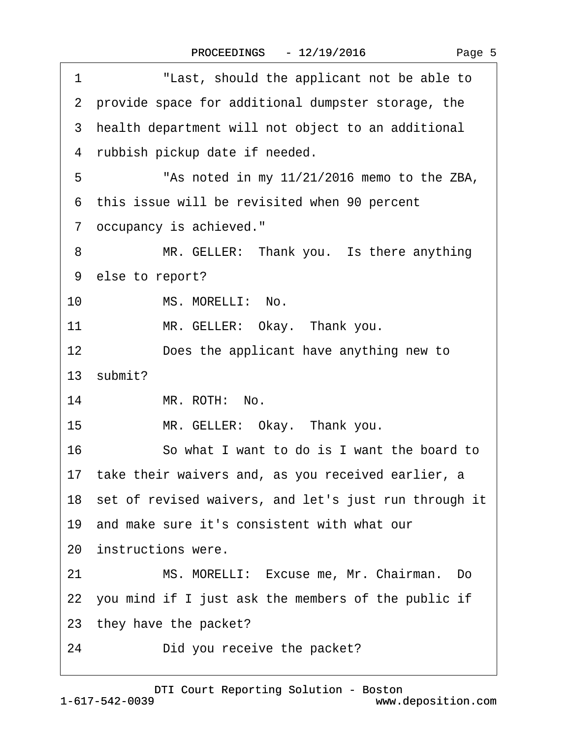<span id="page-4-0"></span> $\sqrt{ }$ 

| "Last, should the applicant not be able to<br>1          |
|----------------------------------------------------------|
| 2 provide space for additional dumpster storage, the     |
| 3 health department will not object to an additional     |
| 4 rubbish pickup date if needed.                         |
| "As noted in my 11/21/2016 memo to the ZBA,<br>5         |
| 6 this issue will be revisited when 90 percent           |
| 7 occupancy is achieved."                                |
| MR. GELLER: Thank you. Is there anything<br>8            |
| 9 else to report?                                        |
| MS. MORELLI: No.<br>10 <sup>°</sup>                      |
| 11<br>MR. GELLER: Okay. Thank you.                       |
| 12<br>Does the applicant have anything new to            |
| 13 submit?                                               |
| 14<br>MR. ROTH: No.                                      |
| 15<br>MR. GELLER: Okay. Thank you.                       |
| 16<br>So what I want to do is I want the board to        |
| 17 take their waivers and, as you received earlier, a    |
| 18 set of revised waivers, and let's just run through it |
| 19 and make sure it's consistent with what our           |
| 20 instructions were.                                    |
| MS. MORELLI: Excuse me, Mr. Chairman. Do<br>21           |
| 22 you mind if I just ask the members of the public if   |
| 23 they have the packet?                                 |
| 24<br>Did you receive the packet?                        |
|                                                          |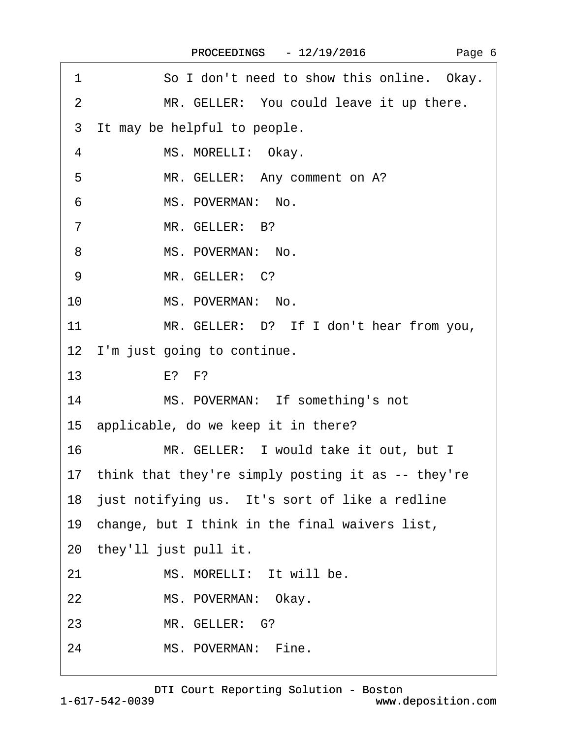<span id="page-5-0"></span>

| 1<br>So I don't need to show this online. Okay.       |
|-------------------------------------------------------|
| 2<br>MR. GELLER: You could leave it up there.         |
| It may be helpful to people.<br>3                     |
| MS. MORELLI: Okay.<br>4                               |
| MR. GELLER: Any comment on A?<br>5                    |
| MS. POVERMAN: No.<br>6                                |
| MR. GELLER: B?<br>$\overline{7}$                      |
| MS. POVERMAN: No.<br>8                                |
| MR. GELLER: C?<br>9                                   |
| MS. POVERMAN: No.<br>10                               |
| 11<br>MR. GELLER: D? If I don't hear from you,        |
| 12 I'm just going to continue.                        |
| 13<br>$E$ ? $F$ ?                                     |
| MS. POVERMAN: If something's not<br>14                |
| 15 applicable, do we keep it in there?                |
| 16<br>MR. GELLER: I would take it out, but I          |
| 17 think that they're simply posting it as -- they're |
| 18 just notifying us. It's sort of like a redline     |
| 19 change, but I think in the final waivers list,     |
| 20 they'll just pull it.                              |
| MS. MORELLI: It will be.<br>21                        |
| 22<br>MS. POVERMAN: Okay.                             |
| MR. GELLER: G?<br>23                                  |
| MS. POVERMAN: Fine.<br>24                             |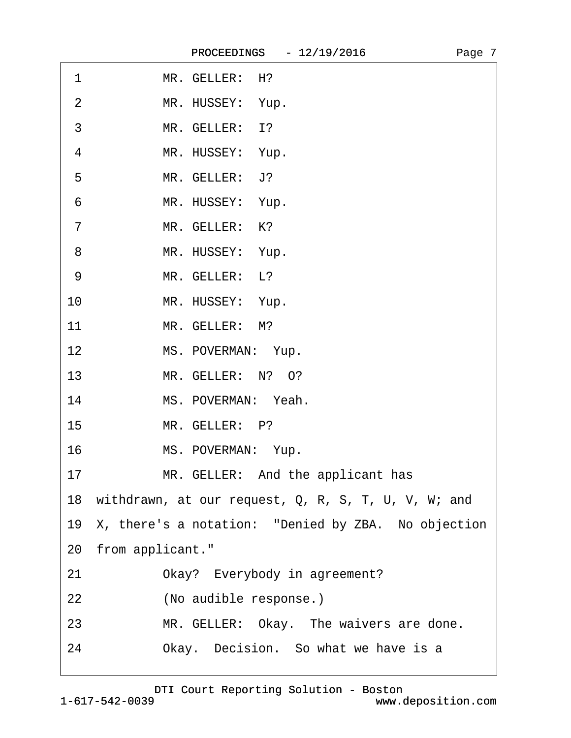<span id="page-6-0"></span>

| MR. GELLER: H? |
|----------------|
|                |

- 2 MR. HUSSEY: Yup.
- 3 MR. GELLER: 1?
- 4 MR. HUSSEY: Yup.
- 5 MR. GELLER: J?
- 6 MR. HUSSEY: Yup.
- 7 MR. GELLER: K?
- 8 MR. HUSSEY: Yup.
- 9 MR. GELLER: L?
- 10 MR. HUSSEY: Yup.
- 11 MR. GELLER: M?
- 12 MS. POVERMAN: Yup.
- 13 MR. GELLER: N? O?
- 14 MS. POVERMAN: Yeah.
- 15 MR. GELLER: P?
- 16 MS. POVERMAN: Yup.
- 17 MR. GELLER: And the applicant has
- 18 withdrawn, at our request, Q, R, S, T, U, V, W; and
- 19 X, there's a notation: "Denied by ZBA. No objection
- 20 from applicant."
- 21 Okay? Everybody in agreement?
- 22 (No audible response.)
- 23 MR. GELLER: Okay. The waivers are done.
- 24 Okay. Decision. So what we have is a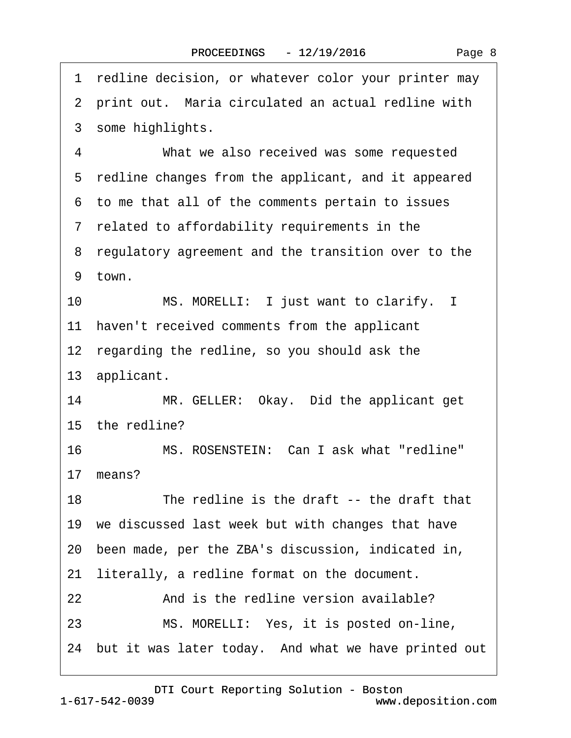<span id="page-7-0"></span>1 redline decision, or whatever color your printer may 2 print out. Maria circulated an actual redline with 3 some highlights. 4 What we also received was some requested 5 redline changes from the applicant, and it appeared ·6· to me that all of the comments pertain to issues ·7· related to affordability requirements in the 8 regulatory agreement and the transition over to the 9 town. 10 MS. MORELLI: I just want to clarify. I 11 haven't received comments from the applicant 12 regarding the redline, so you should ask the 13· applicant. 14 MR. GELLER: Okay. Did the applicant get 15 the redline? 16 MS. ROSENSTEIN: Can Lask what "redline" 17 means? 18 The redline is the draft -- the draft that 19 we discussed last week but with changes that have 20· been made, per the ZBA's discussion, indicated in, 21 literally, a redline format on the document. 22 And is the redline version available? 23 MS. MORELLI: Yes, it is posted on-line, 24 but it was later today. And what we have printed out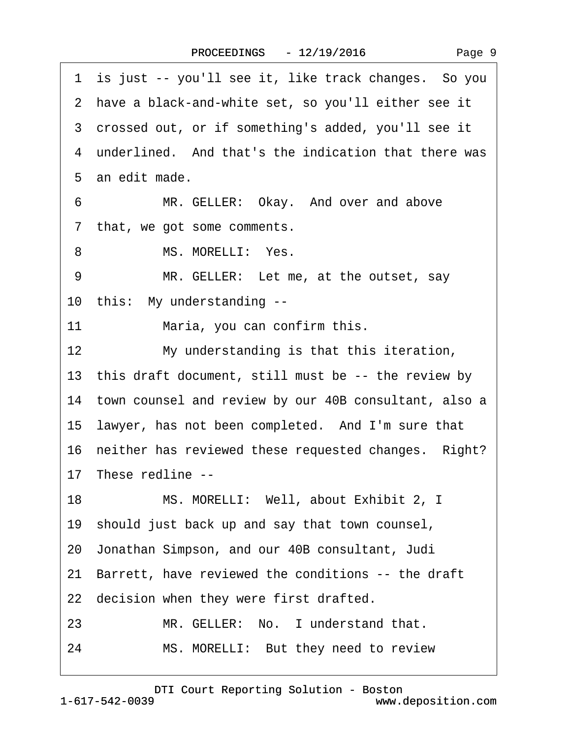<span id="page-8-0"></span>

| 1 is just -- you'll see it, like track changes. So you   |
|----------------------------------------------------------|
| 2 have a black-and-white set, so you'll either see it    |
| 3 crossed out, or if something's added, you'll see it    |
| 4 underlined. And that's the indication that there was   |
| 5 an edit made.                                          |
| MR. GELLER: Okay. And over and above<br>6                |
| that, we got some comments.<br>7                         |
| MS. MORELLI: Yes.<br>8                                   |
| MR. GELLER: Let me, at the outset, say<br>9              |
| 10 this: My understanding --                             |
| 11<br>Maria, you can confirm this.                       |
| 12<br>My understanding is that this iteration,           |
| 13 this draft document, still must be -- the review by   |
| 14 town counsel and review by our 40B consultant, also a |
| 15 lawyer, has not been completed. And I'm sure that     |
| 16 neither has reviewed these requested changes. Right?  |
| 17 These redline --                                      |
| 18<br>MS. MORELLI: Well, about Exhibit 2, I              |
| 19 should just back up and say that town counsel,        |
| 20 Jonathan Simpson, and our 40B consultant, Judi        |
| 21 Barrett, have reviewed the conditions -- the draft    |
| 22 decision when they were first drafted.                |
| MR. GELLER: No. I understand that.<br>23                 |
| MS. MORELLI: But they need to review<br>24               |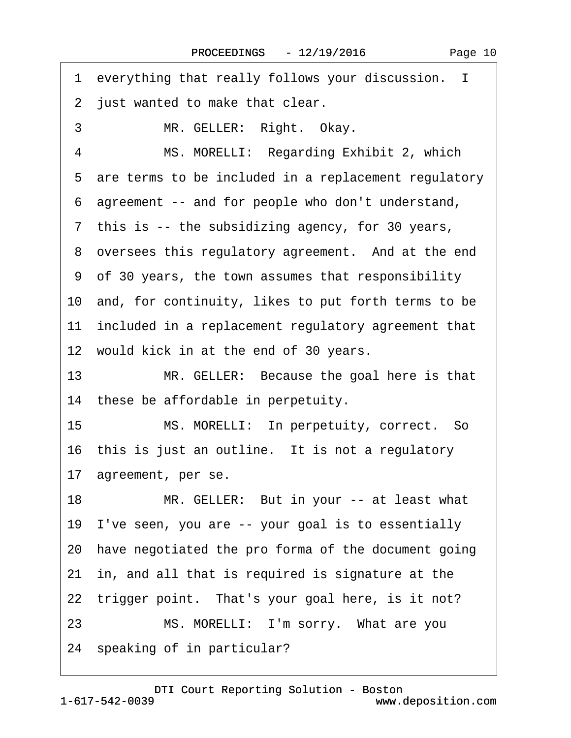<span id="page-9-0"></span>1 everything that really follows your discussion. I 2 just wanted to make that clear. 3 MR. GELLER: Right. Okay. 4 MS. MORELLI: Regarding Exhibit 2, which 5 are terms to be included in a replacement regulatory ·6· agreement -- and for people who don't understand, 7 this is -- the subsidizing agency, for 30 years, 8 oversees this regulatory agreement. And at the end ·9· of 30 years, the town assumes that responsibility 10 and, for continuity, likes to put forth terms to be 11 included in a replacement regulatory agreement that 12 would kick in at the end of 30 years. 13 MR. GELLER: Because the goal here is that 14 these be affordable in perpetuity. 15 MS. MORELLI: In perpetuity, correct. So 16 this is just an outline. It is not a regulatory 17 agreement, per se. 18 MR. GELLER: But in your -- at least what 19· I've seen, you are -- your goal is to essentially 20· have negotiated the pro forma of the document going 21· in, and all that is required is signature at the 22 trigger point. That's your goal here, is it not? 23 MS. MORELLI: I'm sorry. What are you 24 speaking of in particular?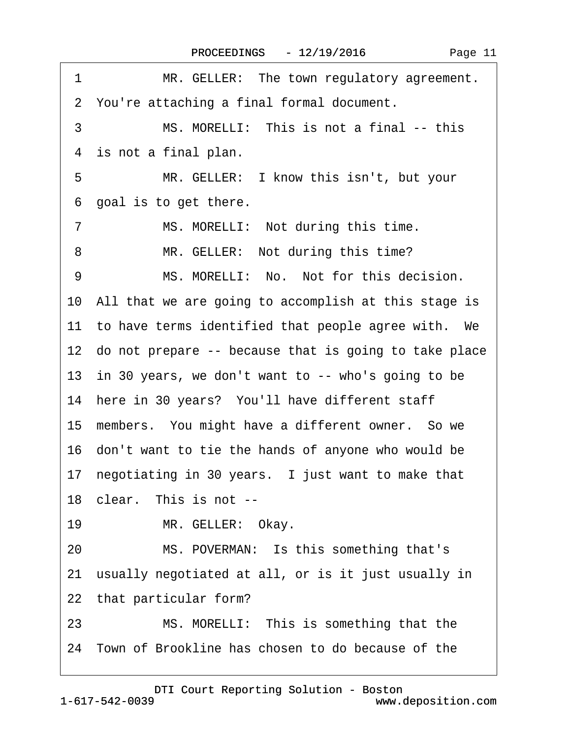<span id="page-10-0"></span>

| 1<br>MR. GELLER: The town regulatory agreement.          |
|----------------------------------------------------------|
| 2 You're attaching a final formal document.              |
| MS. MORELLI: This is not a final -- this<br>3            |
| 4 is not a final plan.                                   |
| 5<br>MR. GELLER: I know this isn't, but your             |
| goal is to get there.<br>6                               |
| $\overline{7}$<br>MS. MORELLI: Not during this time.     |
| MR. GELLER: Not during this time?<br>8                   |
| MS. MORELLI: No. Not for this decision.<br>9             |
| 10 All that we are going to accomplish at this stage is  |
| 11 to have terms identified that people agree with. We   |
| 12 do not prepare -- because that is going to take place |
| 13 in 30 years, we don't want to -- who's going to be    |
| 14 here in 30 years? You'll have different staff         |
| 15 members. You might have a different owner. So we      |
| 16 don't want to tie the hands of anyone who would be    |
| 17 negotiating in 30 years. I just want to make that     |
| 18 clear. This is not --                                 |
| MR. GELLER: Okay.<br>19                                  |
| MS. POVERMAN: Is this something that's<br>20             |
| 21 usually negotiated at all, or is it just usually in   |
| 22 that particular form?                                 |
| 23<br>MS. MORELLI: This is something that the            |
| 24 Town of Brookline has chosen to do because of the     |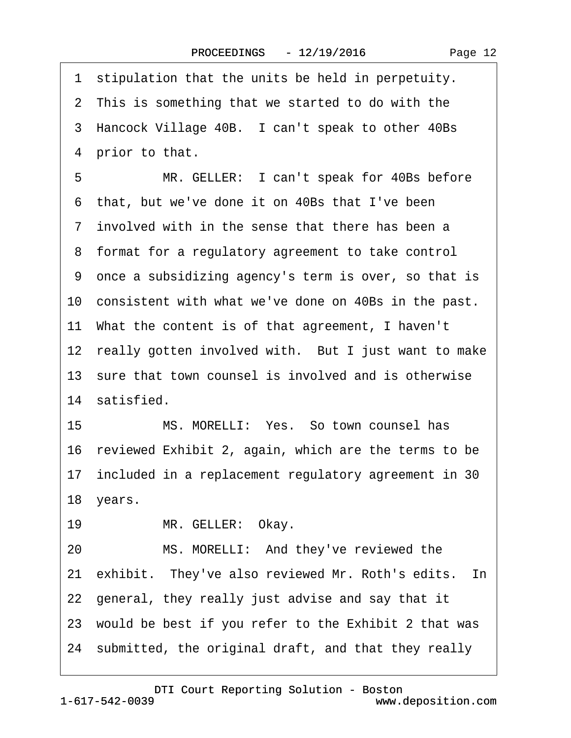<span id="page-11-0"></span>1 stipulation that the units be held in perpetuity. 2 This is something that we started to do with the 3 Hancock Village 40B. I can't speak to other 40Bs 4 prior to that. 5 MR. GELLER: I can't speak for 40Bs before ·6· that, but we've done it on 40Bs that I've been ·7· involved with in the sense that there has been a ·8· format for a regulatory agreement to take control ·9· once a subsidizing agency's term is over, so that is 10 consistent with what we've done on 40Bs in the past. 11· What the content is of that agreement, I haven't 12 really gotten involved with. But I just want to make 13 sure that town counsel is involved and is otherwise 14 satisfied. 15 MS. MORELLI: Yes. So town counsel has 16 reviewed Exhibit 2, again, which are the terms to be 17 included in a replacement regulatory agreement in 30 18 years. 19 MR. GELLER: Okay. 20 MS. MORELLI: And they've reviewed the 21 exhibit. They've also reviewed Mr. Roth's edits. In 22· general, they really just advise and say that it 23 would be best if you refer to the Exhibit 2 that was

24· submitted, the original draft, and that they really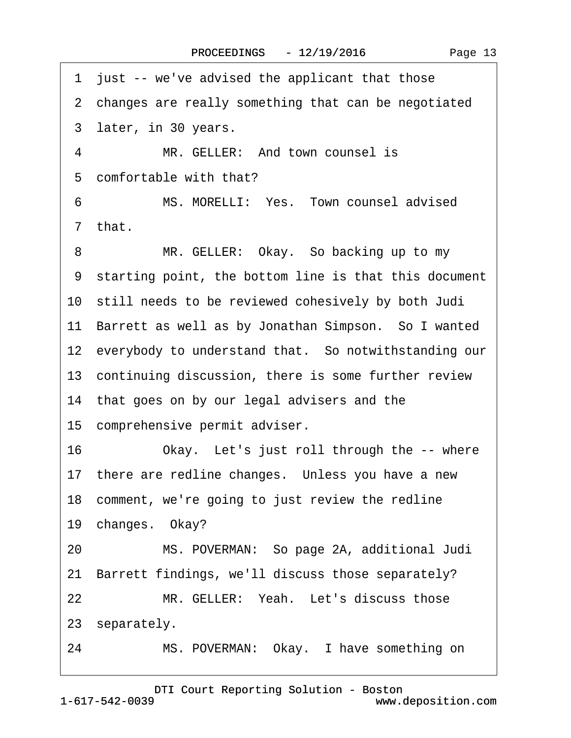<span id="page-12-0"></span>1 just -- we've advised the applicant that those 2 changes are really something that can be negotiated 3 later, in 30 years. 4 MR. GELLER: And town counsel is 5 comfortable with that? 6 MS. MORELLI: Yes. Town counsel advised ·7· that. 8 MR. GELLER: Okay. So backing up to my ·9· starting point, the bottom line is that this document 10 still needs to be reviewed cohesively by both Judi 11 Barrett as well as by Jonathan Simpson. So I wanted 12 everybody to understand that. So not with standing our 13 continuing discussion, there is some further review 14 that goes on by our legal advisers and the 15 comprehensive permit adviser. 16 Okay. Let's just roll through the -- where 17 there are redline changes. Unless you have a new 18 comment, we're going to just review the redline 19 changes. Okay? 20 MS. POVERMAN: So page 2A, additional Judi 21 Barrett findings, we'll discuss those separately? 22 MR. GELLER: Yeah. Let's discuss those 23 separately. 24 MS. POVERMAN: Okay. I have something on

1-617-542-0039 [DTI Court Reporting Solution - Boston](http://www.deposition.com) www.deposition.com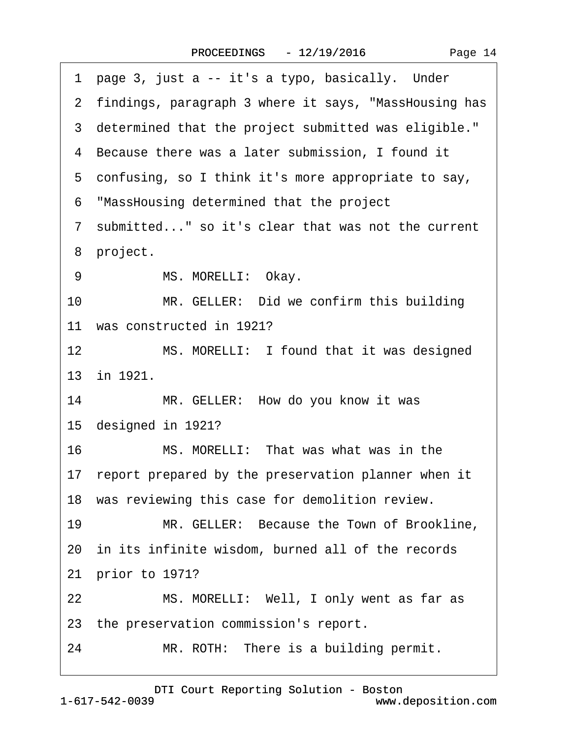<span id="page-13-0"></span>

| 1 page 3, just a -- it's a typo, basically. Under       |
|---------------------------------------------------------|
| 2 findings, paragraph 3 where it says, "MassHousing has |
| 3 determined that the project submitted was eligible."  |
| 4 Because there was a later submission, I found it      |
| 5 confusing, so I think it's more appropriate to say,   |
| 6 "MassHousing determined that the project              |
| 7 submitted" so it's clear that was not the current     |
| 8 project.                                              |
| MS. MORELLI: Okay.<br>9                                 |
| MR. GELLER: Did we confirm this building<br>10          |
| 11 was constructed in 1921?                             |
| MS. MORELLI: I found that it was designed<br>12         |
| 13 in 1921.                                             |
| MR. GELLER: How do you know it was<br>14                |
| 15 designed in 1921?                                    |
| MS. MORELLI: That was what was in the<br>16             |
| 17 report prepared by the preservation planner when it  |
| 18 was reviewing this case for demolition review.       |
| MR. GELLER: Because the Town of Brookline,<br>19        |
| 20 in its infinite wisdom, burned all of the records    |
| 21 prior to 1971?                                       |
| MS. MORELLI: Well, I only went as far as<br>22          |
| 23 the preservation commission's report.                |
| 24<br>MR. ROTH: There is a building permit.             |
|                                                         |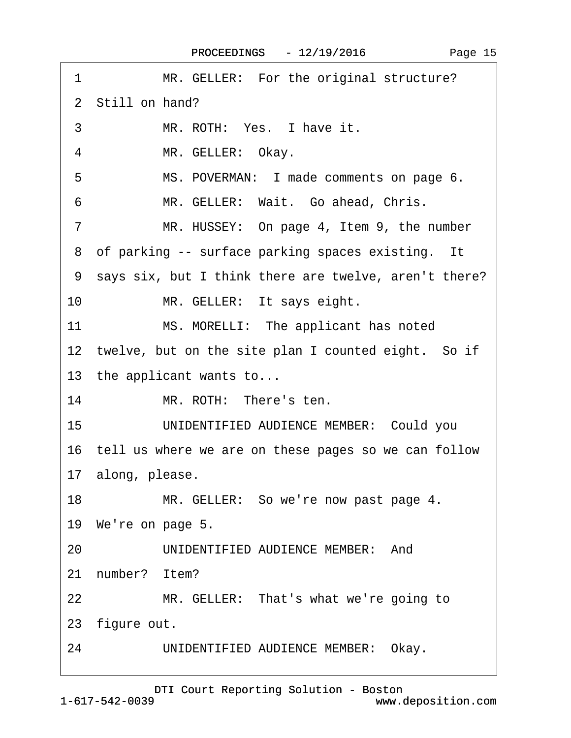<span id="page-14-0"></span>

| MR. GELLER: For the original structure?<br>1                |
|-------------------------------------------------------------|
| 2 Still on hand?                                            |
| MR. ROTH: Yes. I have it.<br>3                              |
| MR. GELLER: Okay.<br>4                                      |
| MS. POVERMAN: I made comments on page 6.<br>5               |
| MR. GELLER: Wait. Go ahead, Chris.<br>6                     |
| $\overline{7}$<br>MR. HUSSEY: On page 4, Item 9, the number |
| 8 of parking -- surface parking spaces existing. It         |
| 9 says six, but I think there are twelve, aren't there?     |
| 10<br>MR. GELLER: It says eight.                            |
| 11<br>MS. MORELLI: The applicant has noted                  |
| 12 twelve, but on the site plan I counted eight. So if      |
| 13 the applicant wants to                                   |
| MR. ROTH: There's ten.<br>14                                |
| UNIDENTIFIED AUDIENCE MEMBER: Could you<br>15               |
| 16 tell us where we are on these pages so we can follow     |
| 17 along, please.                                           |
| 18<br>MR. GELLER: So we're now past page 4.                 |
| 19 We're on page 5.                                         |
| UNIDENTIFIED AUDIENCE MEMBER: And<br>20                     |
| 21 number? Item?                                            |
| MR. GELLER: That's what we're going to<br>22                |
| 23 figure out.                                              |
| UNIDENTIFIED AUDIENCE MEMBER: Okay.<br>24                   |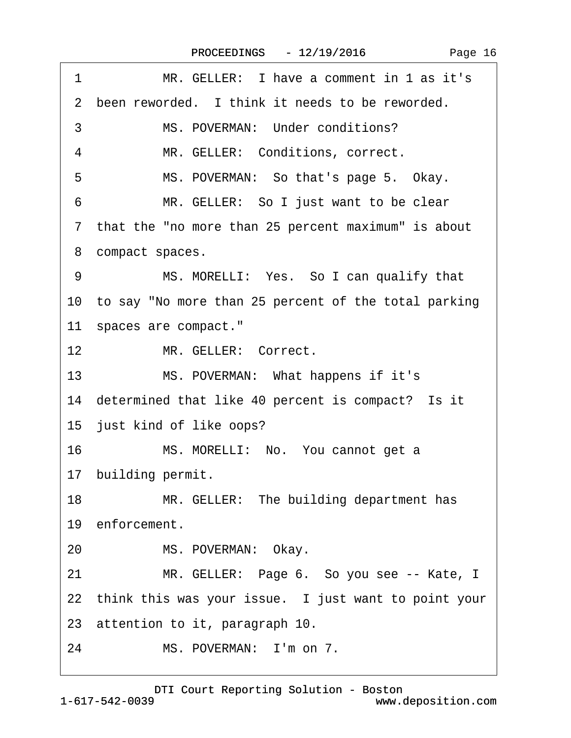<span id="page-15-0"></span> $\sqrt{ }$ 

| MR. GELLER: I have a comment in 1 as it's<br>1                    |
|-------------------------------------------------------------------|
| been reworded. I think it needs to be reworded.<br>$\overline{2}$ |
| 3<br>MS. POVERMAN: Under conditions?                              |
| MR. GELLER: Conditions, correct.<br>4                             |
| 5<br>MS. POVERMAN: So that's page 5. Okay.                        |
| 6<br>MR. GELLER: So I just want to be clear                       |
| 7 that the "no more than 25 percent maximum" is about             |
| 8 compact spaces.                                                 |
| MS. MORELLI: Yes. So I can qualify that<br>9                      |
| 10 to say "No more than 25 percent of the total parking           |
| 11 spaces are compact."                                           |
| 12 <sup>2</sup><br>MR. GELLER: Correct.                           |
| 13<br>MS. POVERMAN: What happens if it's                          |
| 14 determined that like 40 percent is compact? Is it              |
| 15 just kind of like oops?                                        |
| 16<br>MS. MORELLI: No. You cannot get a                           |
| 17 building permit.                                               |
| 18<br>MR. GELLER: The building department has                     |
| 19 enforcement.                                                   |
| MS. POVERMAN: Okay.<br>20                                         |
| 21<br>MR. GELLER: Page 6. So you see -- Kate, I                   |
| 22 think this was your issue. I just want to point your           |
| 23 attention to it, paragraph 10.                                 |
| MS. POVERMAN: I'm on 7.<br>24                                     |
|                                                                   |

1-617-542-0039 [DTI Court Reporting Solution - Boston](http://www.deposition.com) www.deposition.com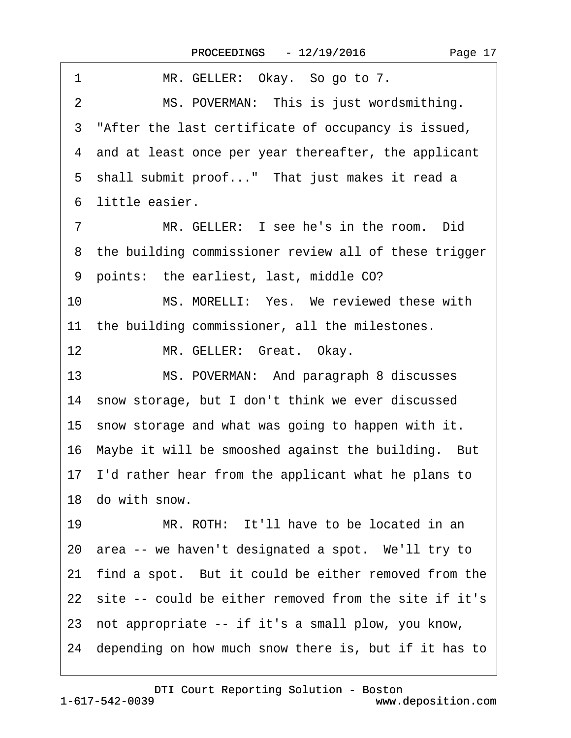<span id="page-16-0"></span>

| 1<br>MR. GELLER: Okay. So go to 7.                         |
|------------------------------------------------------------|
| MS. POVERMAN: This is just wordsmithing.<br>$\overline{2}$ |
| 3 "After the last certificate of occupancy is issued,      |
| 4 and at least once per year thereafter, the applicant     |
| 5 shall submit proof" That just makes it read a            |
| 6 little easier.                                           |
| MR. GELLER: I see he's in the room. Did<br>$\overline{7}$  |
| 8 the building commissioner review all of these trigger    |
| 9 points: the earliest, last, middle CO?                   |
| MS. MORELLI: Yes. We reviewed these with<br>10             |
| 11 the building commissioner, all the milestones.          |
| 12<br>MR. GELLER: Great. Okay.                             |
| 13<br>MS. POVERMAN: And paragraph 8 discusses              |
| 14 snow storage, but I don't think we ever discussed       |
| 15 snow storage and what was going to happen with it.      |
| 16 Maybe it will be smooshed against the building. But     |
| 17 I'd rather hear from the applicant what he plans to     |
| 18 do with snow.                                           |
| 19<br>MR. ROTH: It'll have to be located in an             |
| 20 area -- we haven't designated a spot. We'll try to      |
| find a spot. But it could be either removed from the<br>21 |
| 22 site -- could be either removed from the site if it's   |
| 23 not appropriate -- if it's a small plow, you know,      |
| 24 depending on how much snow there is, but if it has to   |
|                                                            |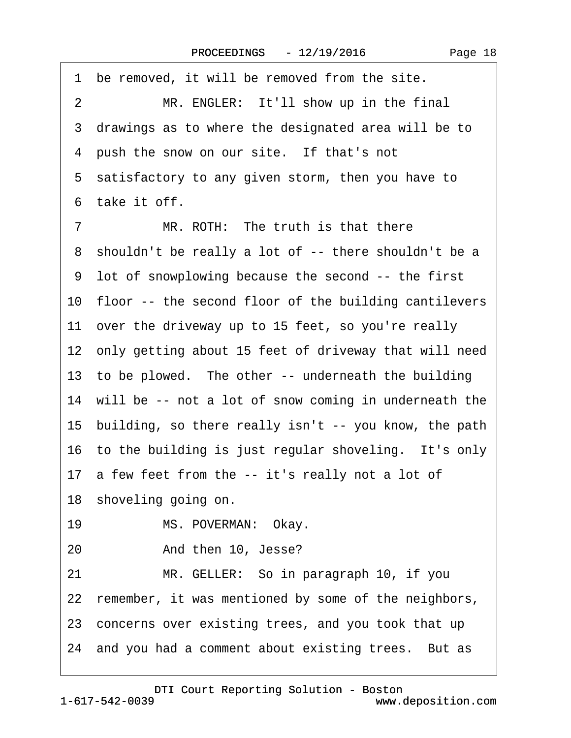<span id="page-17-0"></span>

| be removed, it will be removed from the site.<br>1       |
|----------------------------------------------------------|
| MR. ENGLER: It'll show up in the final<br>$\overline{2}$ |
| 3 drawings as to where the designated area will be to    |
| 4 push the snow on our site. If that's not               |
| 5 satisfactory to any given storm, then you have to      |
| 6 take it off.                                           |
| MR. ROTH: The truth is that there<br>7                   |
| 8 shouldn't be really a lot of -- there shouldn't be a   |
| 9 lot of snowplowing because the second -- the first     |
| 10 floor -- the second floor of the building cantilevers |
| 11 over the driveway up to 15 feet, so you're really     |
| 12 only getting about 15 feet of driveway that will need |
| 13 to be plowed. The other -- underneath the building    |
| 14 will be -- not a lot of snow coming in underneath the |
| 15 building, so there really isn't -- you know, the path |
| 16 to the building is just regular shoveling. It's only  |
| 17 a few feet from the -- it's really not a lot of       |
| 18 shoveling going on.                                   |
| 19<br>MS. POVERMAN: Okay.                                |
| 20<br>And then 10, Jesse?                                |
| 21<br>MR. GELLER: So in paragraph 10, if you             |
| 22 remember, it was mentioned by some of the neighbors,  |
| 23 concerns over existing trees, and you took that up    |
| 24 and you had a comment about existing trees. But as    |
|                                                          |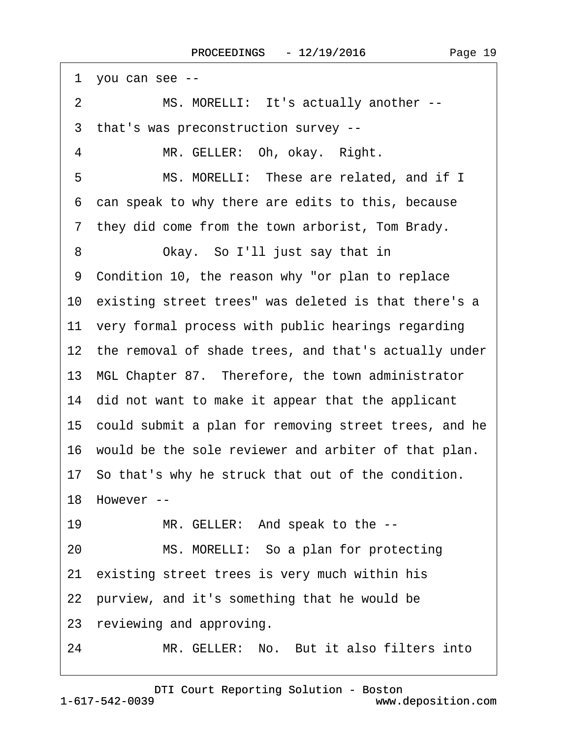<span id="page-18-0"></span>

| 1 you can see --                                         |
|----------------------------------------------------------|
| 2<br>MS. MORELLI: It's actually another --               |
| 3 that's was preconstruction survey --                   |
| MR. GELLER: Oh, okay. Right.<br>4                        |
| 5<br>MS. MORELLI: These are related, and if I            |
| 6 can speak to why there are edits to this, because      |
| 7 they did come from the town arborist, Tom Brady.       |
| Okay. So I'll just say that in<br>8                      |
| 9 Condition 10, the reason why "or plan to replace       |
| 10 existing street trees" was deleted is that there's a  |
| 11 very formal process with public hearings regarding    |
| 12 the removal of shade trees, and that's actually under |
| 13 MGL Chapter 87. Therefore, the town administrator     |
| 14 did not want to make it appear that the applicant     |
| 15 could submit a plan for removing street trees, and he |
| 16 would be the sole reviewer and arbiter of that plan.  |
| 17 So that's why he struck that out of the condition.    |
| 18 However --                                            |
| MR. GELLER: And speak to the --<br>19                    |
| MS. MORELLI: So a plan for protecting<br>20              |
| 21 existing street trees is very much within his         |
| 22 purview, and it's something that he would be          |
| 23 reviewing and approving.                              |
| MR. GELLER: No. But it also filters into<br>24           |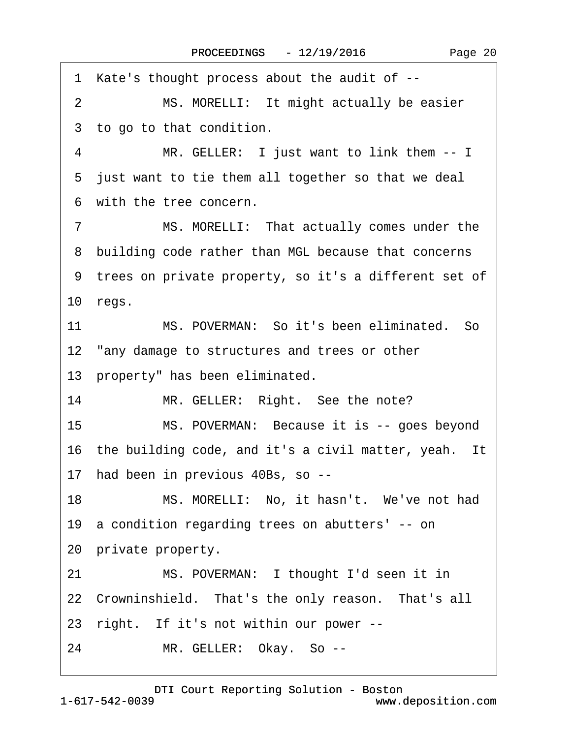<span id="page-19-0"></span>·1· Kate's thought process about the audit of -- 2 MS. MORELLI: It might actually be easier 3 to go to that condition. 4 MR. GELLER: I just want to link them -- I 5 just want to tie them all together so that we deal ·6· with the tree concern. 7 MS. MORELLI: That actually comes under the 8 building code rather than MGL because that concerns ·9· trees on private property, so it's a different set of 10 $regs.$ 11 MS. POVERMAN: So it's been eliminated. So 12 "any damage to structures and trees or other 13 property" has been eliminated. 14 MR. GELLER: Right. See the note? 15 MS. POVERMAN: Because it is -- goes beyond 16 the building code, and it's a civil matter, yeah. It 17 had been in previous 40Bs, so --18 MS. MORELLI: No, it hasn't. We've not had 19· a condition regarding trees on abutters' -- on 20 private property. 21 MS. POVERMAN: I thought I'd seen it in 22 Crowninshield. That's the only reason. That's all 23 right. If it's not within our power --24 MR. GELLER: Okay. So --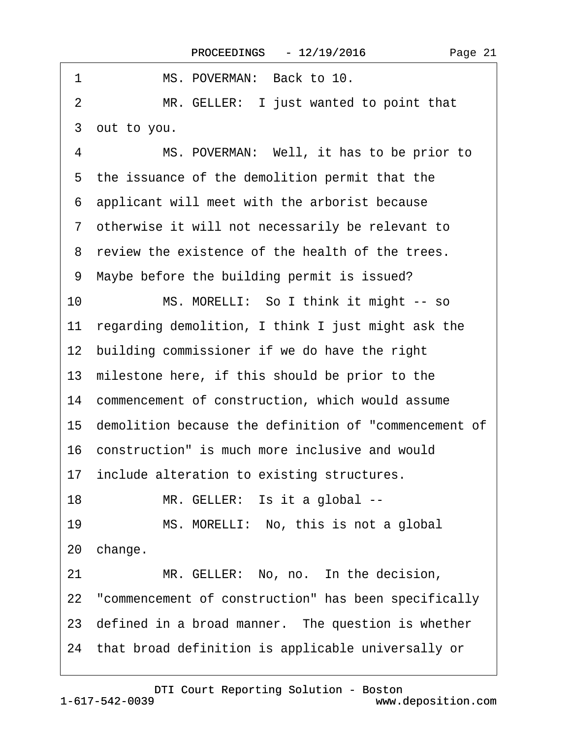<span id="page-20-0"></span>

| 1<br>MS. POVERMAN: Back to 10.                           |  |
|----------------------------------------------------------|--|
| MR. GELLER: I just wanted to point that<br>2             |  |
| 3 out to you.                                            |  |
| MS. POVERMAN: Well, it has to be prior to<br>4           |  |
| 5 the issuance of the demolition permit that the         |  |
| 6 applicant will meet with the arborist because          |  |
| 7 otherwise it will not necessarily be relevant to       |  |
| 8 review the existence of the health of the trees.       |  |
| 9 Maybe before the building permit is issued?            |  |
| MS. MORELLI: So I think it might -- so<br>10             |  |
| 11 regarding demolition, I think I just might ask the    |  |
| 12 building commissioner if we do have the right         |  |
| 13 milestone here, if this should be prior to the        |  |
| 14 commencement of construction, which would assume      |  |
| 15 demolition because the definition of "commencement of |  |
| 16 construction" is much more inclusive and would        |  |
| 17 include alteration to existing structures.            |  |
| MR. GELLER: Is it a global --<br>18                      |  |
| 19<br>MS. MORELLI: No, this is not a global              |  |
| 20 change.                                               |  |
| MR. GELLER: No, no. In the decision,<br>21               |  |
| 22 "commencement of construction" has been specifically  |  |
| 23 defined in a broad manner. The question is whether    |  |
| 24 that broad definition is applicable universally or    |  |
|                                                          |  |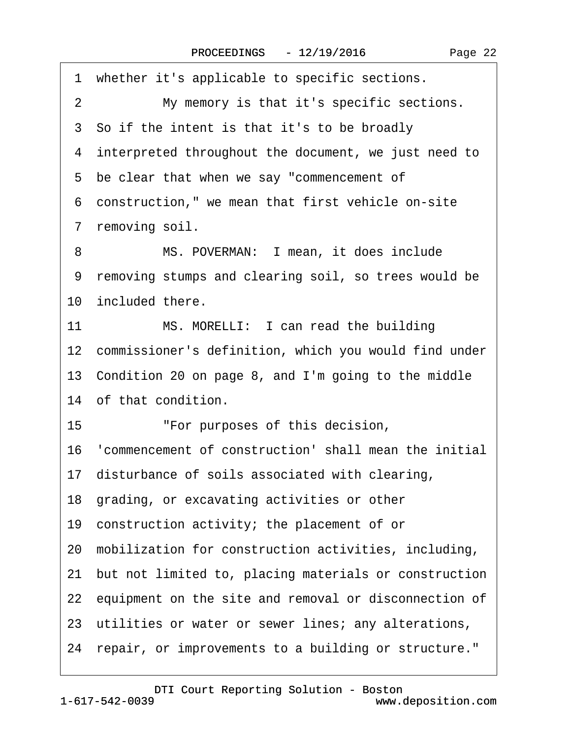<span id="page-21-0"></span>

| 1  | whether it's applicable to specific sections.            |
|----|----------------------------------------------------------|
| 2  | My memory is that it's specific sections.                |
|    | 3 So if the intent is that it's to be broadly            |
|    | 4 interpreted throughout the document, we just need to   |
|    | 5 be clear that when we say "commencement of             |
|    | 6 construction," we mean that first vehicle on-site      |
|    | 7 removing soil.                                         |
| 8  | MS. POVERMAN: I mean, it does include                    |
|    | 9 removing stumps and clearing soil, so trees would be   |
|    | 10 included there.                                       |
| 11 | MS. MORELLI: I can read the building                     |
|    | 12 commissioner's definition, which you would find under |
|    | 13 Condition 20 on page 8, and I'm going to the middle   |
|    | 14 of that condition.                                    |
| 15 | "For purposes of this decision,                          |
|    | 16 'commencement of construction' shall mean the initial |
|    | 17 disturbance of soils associated with clearing,        |
|    | 18 grading, or excavating activities or other            |
|    | 19 construction activity; the placement of or            |
|    | 20 mobilization for construction activities, including,  |
|    | 21 but not limited to, placing materials or construction |
|    | 22 equipment on the site and removal or disconnection of |
|    | 23 utilities or water or sewer lines; any alterations,   |
|    | 24 repair, or improvements to a building or structure."  |
|    |                                                          |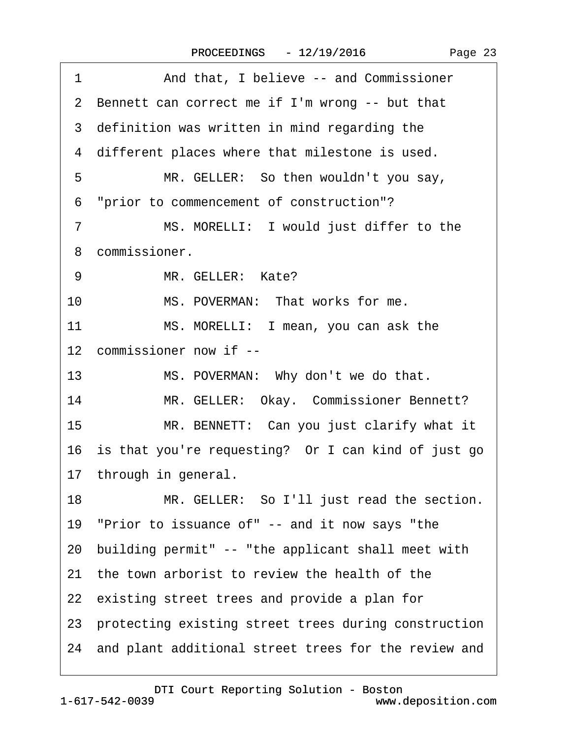| And that, I believe -- and Commissioner<br>1            |
|---------------------------------------------------------|
| 2 Bennett can correct me if I'm wrong -- but that       |
| 3 definition was written in mind regarding the          |
| 4 different places where that milestone is used.        |
| MR. GELLER: So then wouldn't you say,<br>5              |
| 6 "prior to commencement of construction"?              |
| MS. MORELLI: I would just differ to the<br>7            |
| 8 commissioner.                                         |
| MR. GELLER: Kate?<br>9                                  |
| 10<br>MS. POVERMAN: That works for me.                  |
| 11<br>MS. MORELLI: I mean, you can ask the              |
| 12 commissioner now if --                               |
| 13<br>MS. POVERMAN: Why don't we do that.               |
| 14<br>MR. GELLER: Okay. Commissioner Bennett?           |
| 15<br>MR. BENNETT: Can you just clarify what it         |
| 16 is that you're requesting? Or I can kind of just go  |
| 17 through in general.                                  |
| 18<br>MR. GELLER: So I'll just read the section.        |
| 19 "Prior to issuance of" -- and it now says "the       |
| 20 building permit" -- "the applicant shall meet with   |
| 21 the town arborist to review the health of the        |
| 22 existing street trees and provide a plan for         |
| 23 protecting existing street trees during construction |
| 24 and plant additional street trees for the review and |
|                                                         |

<span id="page-22-0"></span> $\sqrt{ }$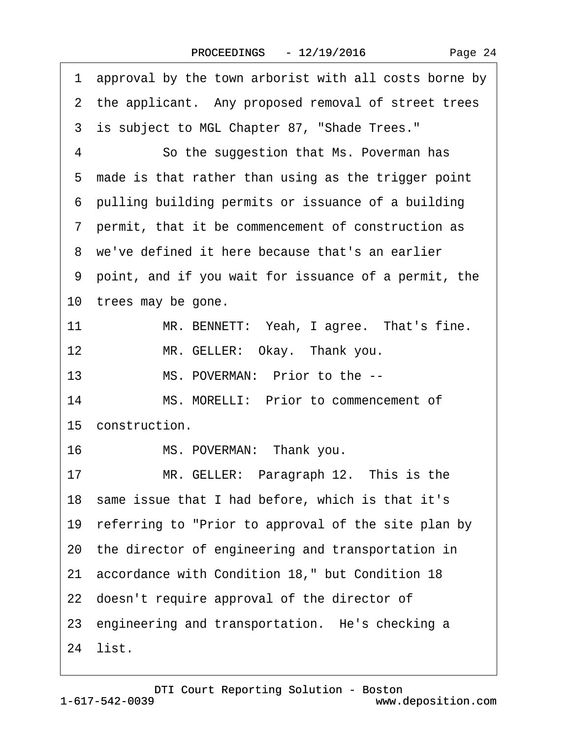<span id="page-23-0"></span>

| 1  | approval by the town arborist with all costs borne by  |
|----|--------------------------------------------------------|
|    | 2 the applicant. Any proposed removal of street trees  |
|    | 3 is subject to MGL Chapter 87, "Shade Trees."         |
| 4  | So the suggestion that Ms. Poverman has                |
|    | 5 made is that rather than using as the trigger point  |
|    | 6 pulling building permits or issuance of a building   |
|    | 7 permit, that it be commencement of construction as   |
|    | 8 we've defined it here because that's an earlier      |
|    | 9 point, and if you wait for issuance of a permit, the |
|    | 10 trees may be gone.                                  |
| 11 | MR. BENNETT: Yeah, I agree. That's fine.               |
| 12 | MR. GELLER: Okay. Thank you.                           |
| 13 | MS. POVERMAN: Prior to the --                          |
| 14 | MS. MORELLI: Prior to commencement of                  |
|    | 15 construction.                                       |
| 16 | MS. POVERMAN: Thank you.                               |
| 17 | MR. GELLER: Paragraph 12. This is the                  |
|    | 18 same issue that I had before, which is that it's    |
|    | 19 referring to "Prior to approval of the site plan by |
|    | 20 the director of engineering and transportation in   |
|    | 21 accordance with Condition 18," but Condition 18     |
|    | 22 doesn't require approval of the director of         |
|    | 23 engineering and transportation. He's checking a     |
|    | 24 list.                                               |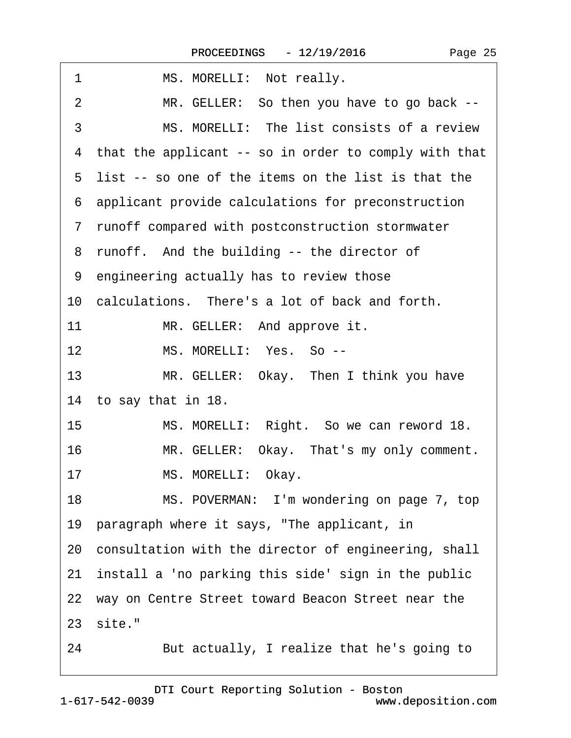<span id="page-24-0"></span>

| 1<br>MS. MORELLI: Not really.                              |
|------------------------------------------------------------|
| MR. GELLER: So then you have to go back --<br>2            |
| 3<br>MS. MORELLI: The list consists of a review            |
| that the applicant -- so in order to comply with that<br>4 |
| 5 list -- so one of the items on the list is that the      |
| 6 applicant provide calculations for preconstruction       |
| 7 runoff compared with postconstruction stormwater         |
| 8 runoff. And the building -- the director of              |
| 9 engineering actually has to review those                 |
| 10 calculations. There's a lot of back and forth.          |
| 11<br>MR. GELLER: And approve it.                          |
| MS. MORELLI: Yes. So --<br>12                              |
| 13<br>MR. GELLER: Okay. Then I think you have              |
| 14 to say that in 18.                                      |
| MS. MORELLI: Right. So we can reword 18.<br>15             |
| MR. GELLER: Okay. That's my only comment.<br>16            |
| MS. MORELLI: Okay.<br>17                                   |
| 18<br>MS. POVERMAN: I'm wondering on page 7, top           |
| 19 paragraph where it says, "The applicant, in             |
| 20 consultation with the director of engineering, shall    |
| install a 'no parking this side' sign in the public<br>21  |
| 22 way on Centre Street toward Beacon Street near the      |
| 23 site."                                                  |
| 24<br>But actually, I realize that he's going to           |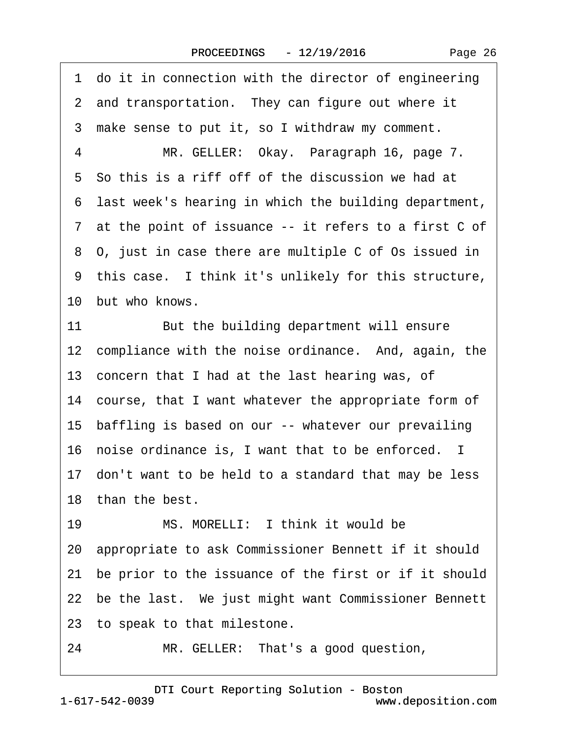|  | Page 26 |  |
|--|---------|--|
|--|---------|--|

<span id="page-25-0"></span>1 do it in connection with the director of engineering 2 and transportation. They can figure out where it 3 make sense to put it, so I withdraw my comment. 4 MR. GELLER: Okay. Paragraph 16, page 7. 5 So this is a riff off of the discussion we had at ·6· last week's hearing in which the building department, ·7· at the point of issuance -- it refers to a first C of ·8· O, just in case there are multiple C of Os issued in 9 this case. I think it's unlikely for this structure, 10 but who knows. 11 But the building department will ensure 12 compliance with the noise ordinance. And, again, the 13 concern that I had at the last hearing was, of 14 course, that I want whatever the appropriate form of 15 baffling is based on our -- whatever our prevailing 16 noise ordinance is, I want that to be enforced. I 17 don't want to be held to a standard that may be less 18 than the best. 19 MS. MORELLI: I think it would be 20· appropriate to ask Commissioner Bennett if it should 21 be prior to the issuance of the first or if it should 22 be the last. We just might want Commissioner Bennett 23 to speak to that milestone. 24 MR. GELLER: That's a good question,

1-617-542-0039 [DTI Court Reporting Solution - Boston](http://www.deposition.com) www.deposition.com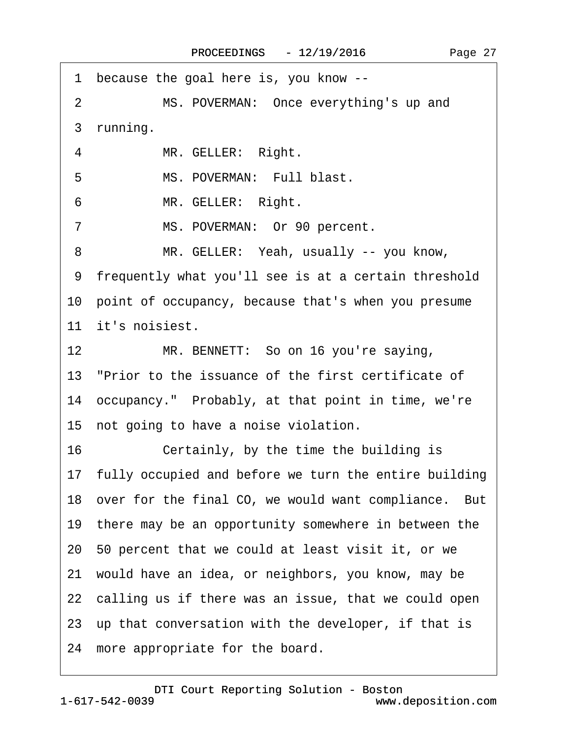<span id="page-26-0"></span> $\Gamma$ 

| because the goal here is, you know --<br>1               |
|----------------------------------------------------------|
| MS. POVERMAN: Once everything's up and<br>2              |
| 3 running.                                               |
| 4<br>MR. GELLER: Right.                                  |
| 5<br>MS. POVERMAN: Full blast.                           |
| MR. GELLER: Right.<br>6                                  |
| MS. POVERMAN: Or 90 percent.<br>7                        |
| MR. GELLER: Yeah, usually -- you know,<br>8              |
| 9 frequently what you'll see is at a certain threshold   |
| 10 point of occupancy, because that's when you presume   |
| 11 it's noisiest.                                        |
| 12 <sup>12</sup><br>MR. BENNETT: So on 16 you're saying, |
| 13 "Prior to the issuance of the first certificate of    |
| 14 occupancy." Probably, at that point in time, we're    |
| 15 not going to have a noise violation.                  |
| 16<br>Certainly, by the time the building is             |
| 17 fully occupied and before we turn the entire building |
| 18 over for the final CO, we would want compliance. But  |
| 19 there may be an opportunity somewhere in between the  |
| 20 50 percent that we could at least visit it, or we     |
| 21 would have an idea, or neighbors, you know, may be    |
| 22 calling us if there was an issue, that we could open  |
| 23 up that conversation with the developer, if that is   |
| 24 more appropriate for the board.                       |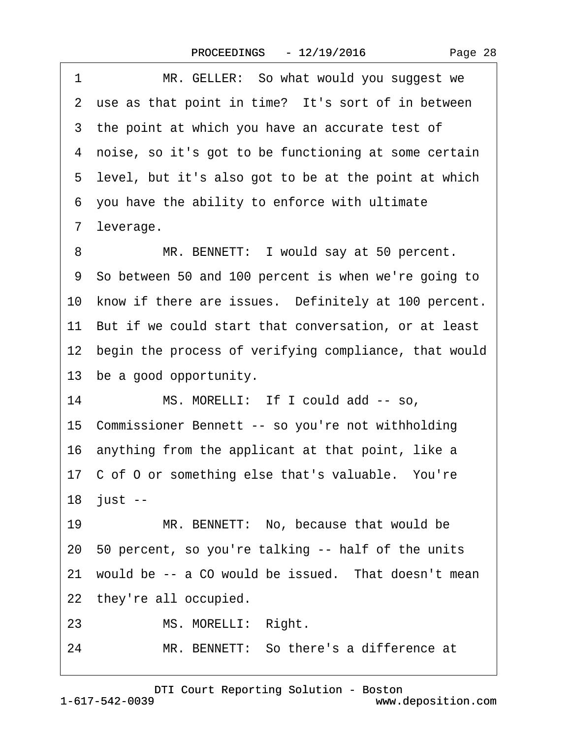<span id="page-27-0"></span>

| 1<br>MR. GELLER: So what would you suggest we            |  |
|----------------------------------------------------------|--|
| 2 use as that point in time? It's sort of in between     |  |
| 3 the point at which you have an accurate test of        |  |
| 4 noise, so it's got to be functioning at some certain   |  |
| 5 level, but it's also got to be at the point at which   |  |
| 6 you have the ability to enforce with ultimate          |  |
| 7 leverage.                                              |  |
| MR. BENNETT: I would say at 50 percent.<br>8             |  |
| 9 So between 50 and 100 percent is when we're going to   |  |
| 10 know if there are issues. Definitely at 100 percent.  |  |
| 11 But if we could start that conversation, or at least  |  |
| 12 begin the process of verifying compliance, that would |  |
| 13 be a good opportunity.                                |  |
| 14<br>MS. MORELLI: If I could add -- so,                 |  |
| 15 Commissioner Bennett -- so you're not withholding     |  |
| 16 anything from the applicant at that point, like a     |  |
| 17 C of O or something else that's valuable. You're      |  |
| 18 just --                                               |  |
| MR. BENNETT: No, because that would be<br>19             |  |
| 20 50 percent, so you're talking -- half of the units    |  |
| 21 would be -- a CO would be issued. That doesn't mean   |  |
| 22 they're all occupied.                                 |  |
| MS. MORELLI: Right.<br>23                                |  |
| MR. BENNETT: So there's a difference at<br>24            |  |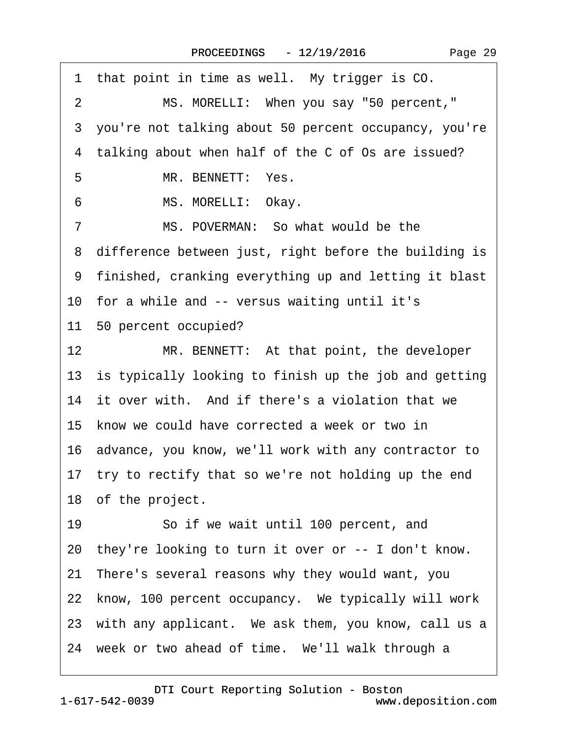<span id="page-28-0"></span>

| 1 that point in time as well. My trigger is CO.           |
|-----------------------------------------------------------|
| $\overline{2}$<br>MS. MORELLI: When you say "50 percent," |
| 3 you're not talking about 50 percent occupancy, you're   |
| 4 talking about when half of the C of Os are issued?      |
| 5<br>MR. BENNETT: Yes.                                    |
| MS. MORELLI: Okay.<br>6                                   |
| $\overline{7}$<br>MS. POVERMAN: So what would be the      |
| 8 difference between just, right before the building is   |
| 9 finished, cranking everything up and letting it blast   |
| 10 for a while and -- versus waiting until it's           |
| 11 50 percent occupied?                                   |
| 12<br>MR. BENNETT: At that point, the developer           |
| 13 is typically looking to finish up the job and getting  |
| 14 it over with. And if there's a violation that we       |
| 15 know we could have corrected a week or two in          |
| 16 advance, you know, we'll work with any contractor to   |
| 17 try to rectify that so we're not holding up the end    |
| 18 of the project.                                        |
| So if we wait until 100 percent, and<br>19                |
| 20 they're looking to turn it over or -- I don't know.    |
| 21 There's several reasons why they would want, you       |
| 22 know, 100 percent occupancy. We typically will work    |
| 23 with any applicant. We ask them, you know, call us a   |
| 24 week or two ahead of time. We'll walk through a        |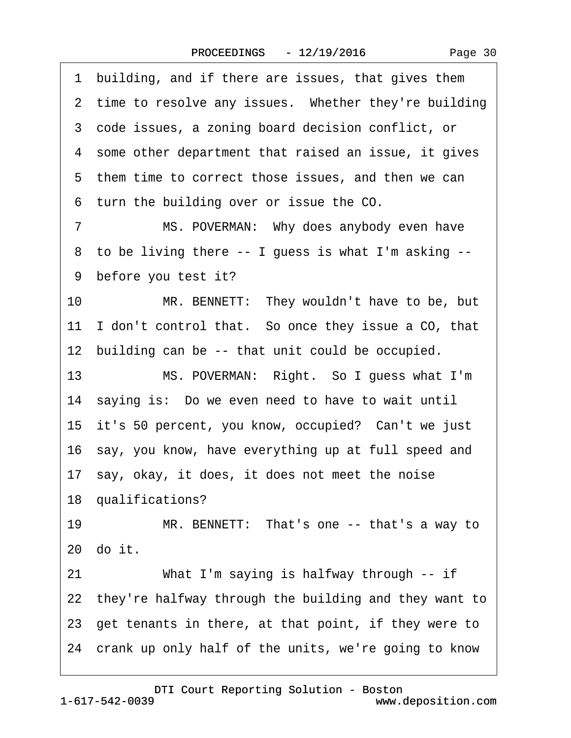<span id="page-29-0"></span>

|                 | 1 building, and if there are issues, that gives them     |
|-----------------|----------------------------------------------------------|
|                 | 2 time to resolve any issues. Whether they're building   |
|                 | 3 code issues, a zoning board decision conflict, or      |
|                 | 4 some other department that raised an issue, it gives   |
|                 | 5 them time to correct those issues, and then we can     |
|                 | 6 turn the building over or issue the CO.                |
| $\overline{7}$  | MS. POVERMAN: Why does anybody even have                 |
| 8               | to be living there -- I guess is what I'm asking --      |
|                 | 9 before you test it?                                    |
| 10              | MR. BENNETT: They wouldn't have to be, but               |
|                 | 11 I don't control that. So once they issue a CO, that   |
|                 | 12 building can be -- that unit could be occupied.       |
| 13 <sup>°</sup> | MS. POVERMAN: Right. So I guess what I'm                 |
|                 | 14 saying is: Do we even need to have to wait until      |
|                 | 15 it's 50 percent, you know, occupied? Can't we just    |
|                 | 16 say, you know, have everything up at full speed and   |
|                 | 17 say, okay, it does, it does not meet the noise        |
|                 | 18 qualifications?                                       |
| 19              | MR. BENNETT: That's one -- that's a way to               |
|                 | 20 do it.                                                |
| 21              | What I'm saying is halfway through -- if                 |
|                 | 22 they're halfway through the building and they want to |
|                 | 23 get tenants in there, at that point, if they were to  |
|                 | 24 crank up only half of the units, we're going to know  |
|                 |                                                          |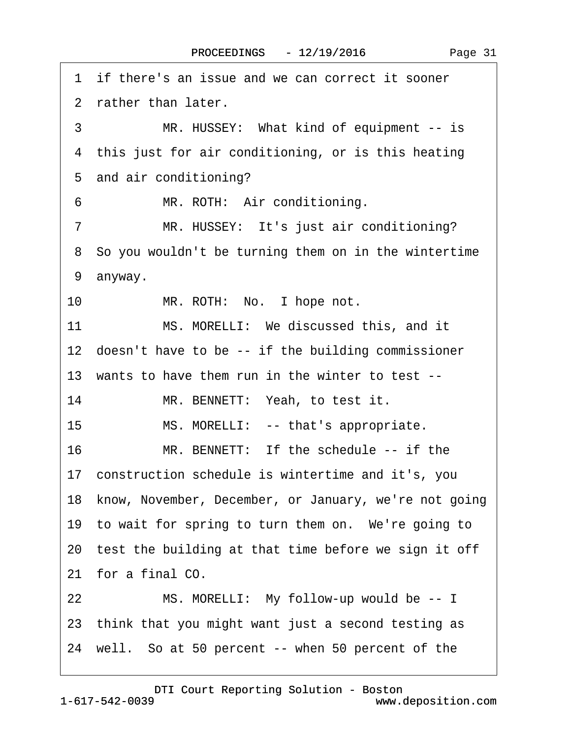<span id="page-30-0"></span>1 if there's an issue and we can correct it sooner ·2· rather than later. 3 MR. HUSSEY: What kind of equipment -- is 4 this just for air conditioning, or is this heating 5 and air conditioning? 6 MR. ROTH: Air conditioning. 7 MR. HUSSEY: It's just air conditioning? 8 So you wouldn't be turning them on in the wintertime 9 anyway. 10 MR. ROTH: No. I hope not. 11 MS. MORELLI: We discussed this, and it 12 doesn't have to be -- if the building commissioner 13· wants to have them run in the winter to test -- 14 MR. BENNETT: Yeah, to test it. 15 MS. MORELLI: -- that's appropriate. 16 MR. BENNETT: If the schedule -- if the 17· construction schedule is wintertime and it's, you 18 know, November, December, or January, we're not going 19 to wait for spring to turn them on. We're going to 20 test the building at that time before we sign it off 21 for a final CO. 22 MS. MORELLI: My follow-up would be -- I 23· think that you might want just a second testing as 24· well.· So at 50 percent -- when 50 percent of the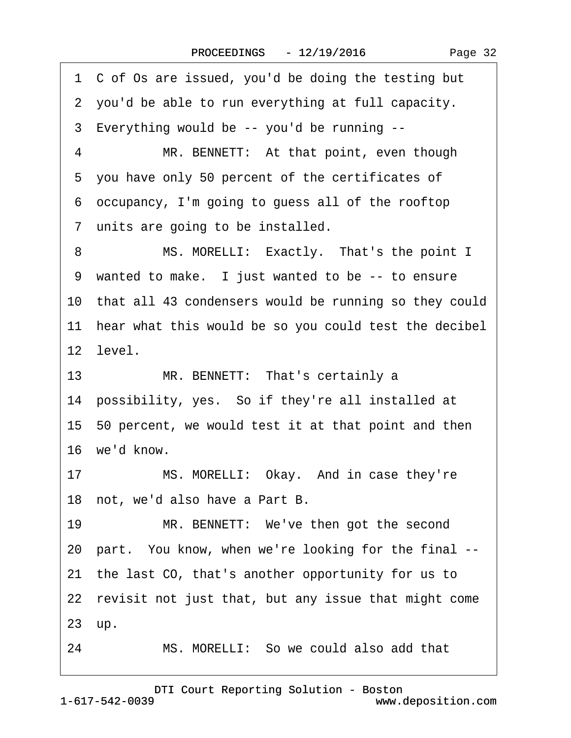<span id="page-31-0"></span>·1· C of Os are issued, you'd be doing the testing but ·2· you'd be able to run everything at full capacity. ·3· Everything would be -- you'd be running -- 4 MR. BENNETT: At that point, even though ·5· you have only 50 percent of the certificates of ·6· occupancy, I'm going to guess all of the rooftop 7 units are going to be installed. 8 MS. MORELLI: Exactly. That's the point I 9 wanted to make. I just wanted to be -- to ensure 10 that all 43 condensers would be running so they could 11 hear what this would be so you could test the decibel 12 level. 13 MR. BENNETT: That's certainly a 14 possibility, yes. So if they're all installed at 15· 50 percent, we would test it at that point and then 16 we'd know. 17 MS. MORELLI: Okay. And in case they're 18 not, we'd also have a Part B. 19 MR. BENNETT: We've then got the second 20 part. You know, when we're looking for the final --21· the last CO, that's another opportunity for us to 22 revisit not just that, but any issue that might come 23 up. 24 MS. MORELLI: So we could also add that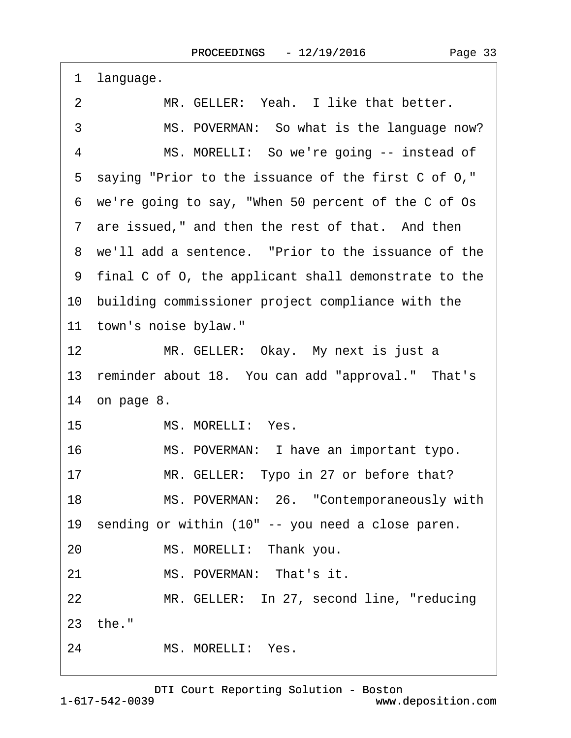<span id="page-32-0"></span>

| 1                | language.                                              |
|------------------|--------------------------------------------------------|
| 2                | MR. GELLER: Yeah. I like that better.                  |
| 3                | MS. POVERMAN: So what is the language now?             |
| 4                | MS. MORELLI: So we're going -- instead of              |
| 5                | saying "Prior to the issuance of the first C of O,"    |
|                  | 6 we're going to say, "When 50 percent of the C of Os  |
|                  | 7 are issued," and then the rest of that. And then     |
|                  | 8 we'll add a sentence. "Prior to the issuance of the  |
|                  | 9 final C of O, the applicant shall demonstrate to the |
|                  | 10 building commissioner project compliance with the   |
|                  | 11 town's noise bylaw."                                |
| 12 <sup>1</sup>  | MR. GELLER: Okay. My next is just a                    |
|                  | 13 reminder about 18. You can add "approval." That's   |
|                  | 14 on page 8.                                          |
| 15 <sub>15</sub> | MS. MORELLI: Yes.                                      |
| 16               | MS. POVERMAN: I have an important typo.                |
| 17               | MR. GELLER: Typo in 27 or before that?                 |
| 18               | MS. POVERMAN: 26. "Contemporaneously with              |
|                  | 19 sending or within (10" -- you need a close paren.   |
| 20               | MS. MORELLI: Thank you.                                |
| 21               | MS. POVERMAN: That's it.                               |
| 22               | MR. GELLER: In 27, second line, "reducing              |
|                  | 23 the."                                               |
| 24               | MS. MORELLI: Yes.                                      |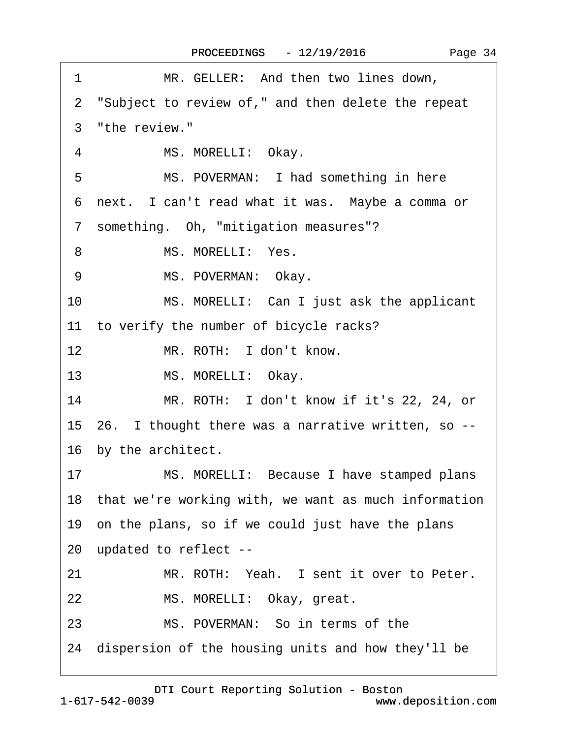<span id="page-33-0"></span>

| 1<br>MR. GELLER: And then two lines down,               |  |
|---------------------------------------------------------|--|
| 2 "Subject to review of," and then delete the repeat    |  |
| 3 "the review."                                         |  |
| MS. MORELLI: Okay.<br>4                                 |  |
| MS. POVERMAN: I had something in here<br>5              |  |
| 6 next. I can't read what it was. Maybe a comma or      |  |
| 7 something. Oh, "mitigation measures"?                 |  |
| MS. MORELLI: Yes.<br>8                                  |  |
| 9<br>MS. POVERMAN: Okay.                                |  |
| MS. MORELLI: Can I just ask the applicant<br>10         |  |
| 11 to verify the number of bicycle racks?               |  |
| 12 <sub>2</sub><br>MR. ROTH: I don't know.              |  |
| 13<br>MS. MORELLI: Okay.                                |  |
| 14<br>MR. ROTH: I don't know if it's 22, 24, or         |  |
| 15 26. I thought there was a narrative written, so --   |  |
| 16 by the architect.                                    |  |
| MS. MORELLI: Because I have stamped plans<br>17         |  |
| 18 that we're working with, we want as much information |  |
| 19 on the plans, so if we could just have the plans     |  |
| 20 updated to reflect --                                |  |
| 21<br>MR. ROTH: Yeah. I sent it over to Peter.          |  |
| 22<br>MS. MORELLI: Okay, great.                         |  |
| MS. POVERMAN: So in terms of the<br>23                  |  |
| 24 dispersion of the housing units and how they'll be   |  |
|                                                         |  |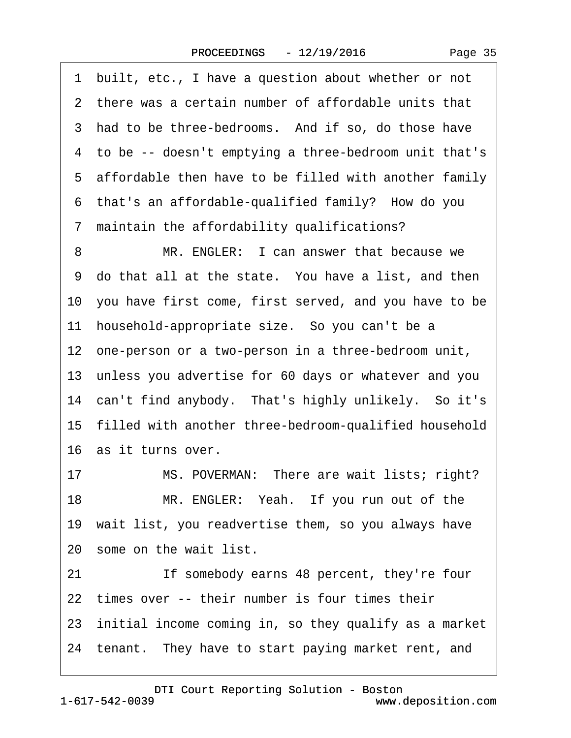Page 35

<span id="page-34-0"></span>·1· built, etc., I have a question about whether or not 2 there was a certain number of affordable units that 3 had to be three-bedrooms. And if so, do those have ·4· to be -- doesn't emptying a three-bedroom unit that's 5 affordable then have to be filled with another family 6 that's an affordable-qualified family? How do you ·7· maintain the affordability qualifications? 8 MR. ENGLER: I can answer that because we 9 do that all at the state. You have a list, and then 10 you have first come, first served, and you have to be 11 household-appropriate size. So you can't be a 12 one-person or a two-person in a three-bedroom unit, 13· unless you advertise for 60 days or whatever and you 14 can't find anybody. That's highly unlikely. So it's 15 filled with another three-bedroom-qualified household 16· as it turns over.

17 MS. POVERMAN: There are wait lists; right? 18 MR. ENGLER: Yeah. If you run out of the 19 wait list, you readvertise them, so you always have 20· some on the wait list.

21 If somebody earns 48 percent, they're four 22 times over -- their number is four times their 23 initial income coming in, so they qualify as a market 24 tenant. They have to start paying market rent, and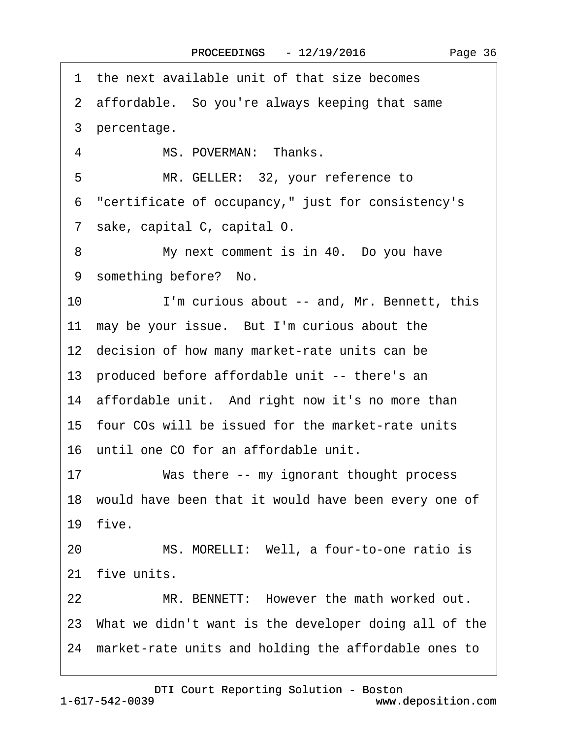<span id="page-35-0"></span>·1· the next available unit of that size becomes 2 affordable. So you're always keeping that same 3 percentage. 4 MS. POVERMAN: Thanks. 5 MR. GELLER: 32, your reference to ·6· "certificate of occupancy," just for consistency's ·7· sake, capital C, capital O. 8 My next comment is in 40. Do you have 9 something before? No. 10 I'm curious about -- and, Mr. Bennett, this 11 may be your issue. But I'm curious about the 12 decision of how many market-rate units can be 13· produced before affordable unit -- there's an 14 affordable unit. And right now it's no more than 15· four COs will be issued for the market-rate units 16· until one CO for an affordable unit. 17 Was there -- my ignorant thought process 18 would have been that it would have been every one of 19 five. 20 MS. MORELLI: Well, a four-to-one ratio is 21 five units. 22 MR. BENNETT: However the math worked out. 23· What we didn't want is the developer doing all of the 24· market-rate units and holding the affordable ones to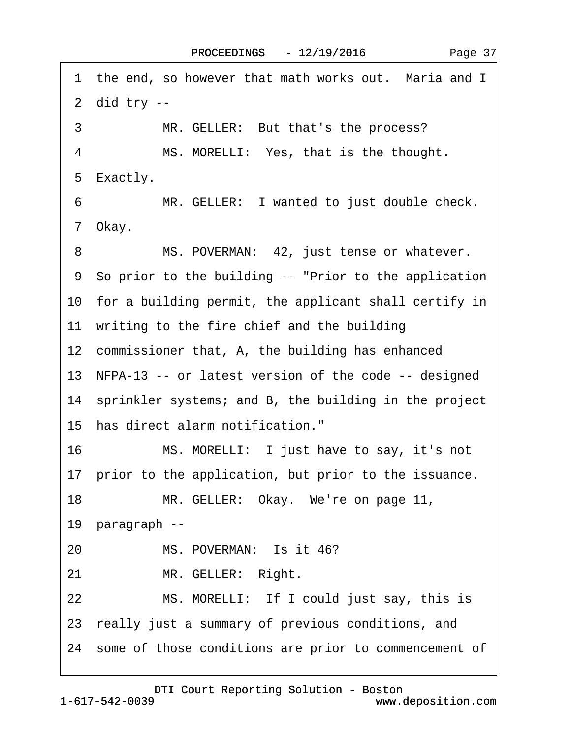<span id="page-36-0"></span>1 the end, so however that math works out. Maria and I  $2$  did try  $-$ 3 MR. GELLER: But that's the process? 4 MS. MORELLI: Yes, that is the thought. 5 Exactly. 6 MR. GELLER: I wanted to just double check. 7 Okay. 8 MS. POVERMAN: 42, just tense or whatever. ·9· So prior to the building -- "Prior to the application 10 for a building permit, the applicant shall certify in 11 writing to the fire chief and the building 12 commissioner that, A, the building has enhanced 13 NFPA-13 -- or latest version of the code -- designed 14 sprinkler systems; and B, the building in the project 15· has direct alarm notification." 16 MS. MORELLI: I just have to say, it's not 17 prior to the application, but prior to the issuance. 18 MR. GELLER: Okay. We're on page 11, 19 paragraph --20 MS. POVERMAN: Is it 46? 21 MR. GELLER: Right. 22 MS. MORELLI: If I could just say, this is 23· really just a summary of previous conditions, and 24 some of those conditions are prior to commencement of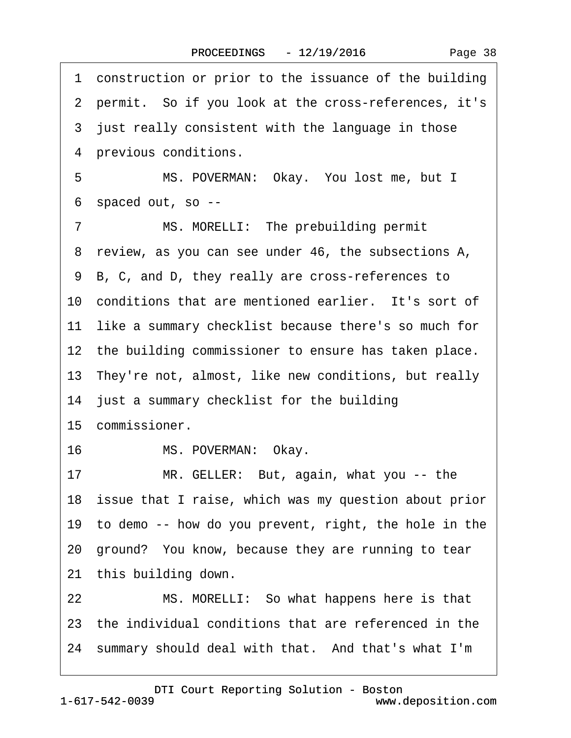<span id="page-37-0"></span>·1· construction or prior to the issuance of the building 2 permit. So if you look at the cross-references, it's 3 just really consistent with the language in those 4 previous conditions. 5 MS. POVERMAN: Okay. You lost me, but I ·6· spaced out, so -- 7 MS. MORELLI: The prebuilding permit 8 review, as you can see under 46, the subsections A, ·9· B, C, and D, they really are cross-references to 10 conditions that are mentioned earlier. It's sort of 11 like a summary checklist because there's so much for 12 the building commissioner to ensure has taken place. 13 They're not, almost, like new conditions, but really 14 just a summary checklist for the building 15 commissioner. 16 MS. POVERMAN: Okay. 17 MR. GELLER: But, again, what you -- the 18 issue that I raise, which was my question about prior 19· to demo -- how do you prevent, right, the hole in the 20· ground?· You know, because they are running to tear 21 this building down. 22 MS. MORELLI: So what happens here is that 23· the individual conditions that are referenced in the 24· summary should deal with that.· And that's what I'm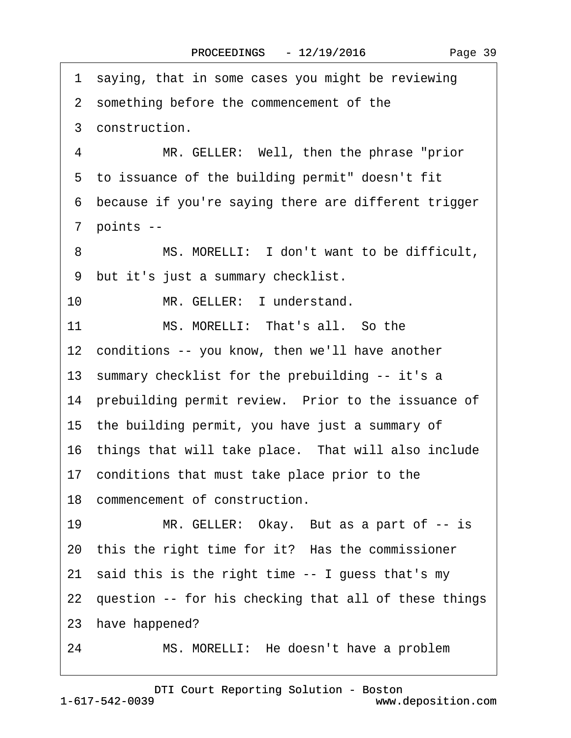<span id="page-38-0"></span>1 saying, that in some cases you might be reviewing 2 something before the commencement of the 3 construction. 4 MR. GELLER: Well, then the phrase "prior 5 to issuance of the building permit" doesn't fit ·6· because if you're saying there are different trigger 7 points --8 MS. MORELLI: I don't want to be difficult, ·9· but it's just a summary checklist. 10 MR. GELLER: I understand. 11 MS. MORELLI: That's all. So the 12 conditions -- you know, then we'll have another 13 summary checklist for the prebuilding -- it's a 14 prebuilding permit review. Prior to the issuance of 15· the building permit, you have just a summary of 16 things that will take place. That will also include 17· conditions that must take place prior to the 18 commencement of construction. 19 MR. GELLER: Okay. But as a part of -- is 20 this the right time for it? Has the commissioner 21 said this is the right time -- I guess that's my 22 question -- for his checking that all of these things 23 have happened? 24 MS. MORELLI: He doesn't have a problem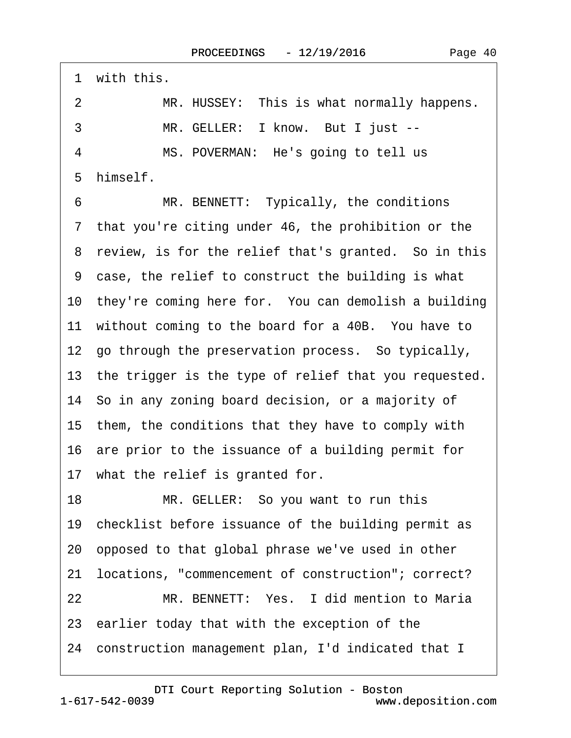<span id="page-39-0"></span>1 with this. 2 MR. HUSSEY: This is what normally happens. 3 MR. GELLER: I know. But I just --4 MS. POVERMAN: He's going to tell us 5 himself. 6 MR. BENNETT: Typically, the conditions 7 that you're citing under 46, the prohibition or the 8 review, is for the relief that's granted. So in this ·9· case, the relief to construct the building is what 10 they're coming here for. You can demolish a building 11 without coming to the board for a 40B. You have to 12· go through the preservation process.· So typically, 13 the trigger is the type of relief that you requested. 14· So in any zoning board decision, or a majority of 15· them, the conditions that they have to comply with 16· are prior to the issuance of a building permit for 17 what the relief is granted for. 18 MR. GELLER: So you want to run this 19 checklist before issuance of the building permit as 20· opposed to that global phrase we've used in other 21· locations, "commencement of construction"; correct? 22 MR. BENNETT: Yes. I did mention to Maria 23· earlier today that with the exception of the 24· construction management plan, I'd indicated that I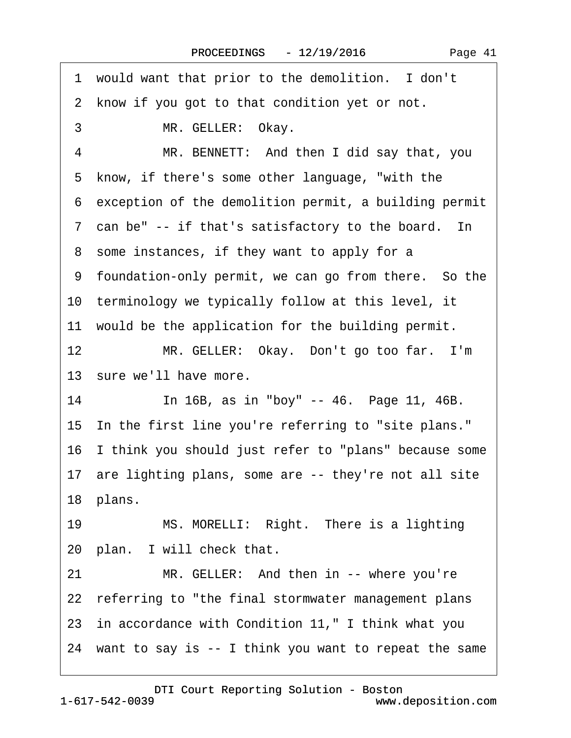<span id="page-40-0"></span>1 would want that prior to the demolition. I don't 2 know if you got to that condition yet or not. 3 MR. GELLER: Okay. 4 MR. BENNETT: And then I did say that, you 5 know, if there's some other language, "with the ·6· exception of the demolition permit, a building permit 7 can be" -- if that's satisfactory to the board. In 8 some instances, if they want to apply for a ·9· foundation-only permit, we can go from there.· So the 10 terminology we typically follow at this level, it 11 would be the application for the building permit. 12 MR. GELLER: Okay. Don't go too far. I'm 13 sure we'll have more. 14 In 16B, as in "boy" -- 46. Page 11, 46B. 15 In the first line you're referring to "site plans." 16· I think you should just refer to "plans" because some 17 are lighting plans, some are -- they're not all site 18 plans. 19 MS. MORELLI: Right. There is a lighting 20 plan. I will check that. 21 MR. GELLER: And then in -- where you're 22 referring to "the final stormwater management plans 23· in accordance with Condition 11," I think what you 24· want to say is -- I think you want to repeat the same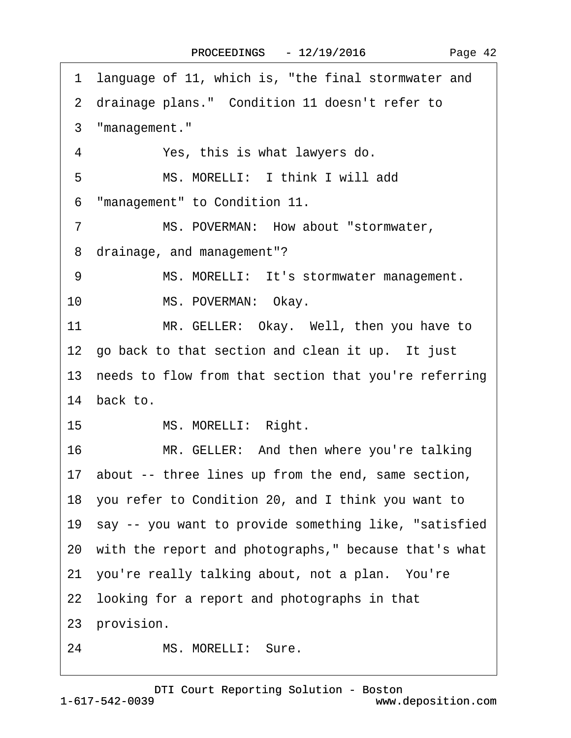<span id="page-41-0"></span>

|    | 1 language of 11, which is, "the final stormwater and     |
|----|-----------------------------------------------------------|
|    | 2 drainage plans." Condition 11 doesn't refer to          |
| 3  | "management."                                             |
| 4  | Yes, this is what lawyers do.                             |
| 5  | MS. MORELLI: I think I will add                           |
| 6  | "management" to Condition 11.                             |
| 7  | MS. POVERMAN: How about "stormwater,                      |
| 8  | drainage, and management"?                                |
| 9  | MS. MORELLI: It's stormwater management.                  |
| 10 | MS. POVERMAN: Okay.                                       |
| 11 | MR. GELLER: Okay. Well, then you have to                  |
|    | 12 go back to that section and clean it up. It just       |
|    | 13 needs to flow from that section that you're referring  |
|    | 14 back to.                                               |
| 15 | MS. MORELLI: Right.                                       |
| 16 | MR. GELLER: And then where you're talking                 |
|    | 17 about -- three lines up from the end, same section,    |
|    | 18 you refer to Condition 20, and I think you want to     |
|    | 19 say -- you want to provide something like, "satisfied" |
|    | 20 with the report and photographs," because that's what  |
|    | 21 you're really talking about, not a plan. You're        |
|    | 22 looking for a report and photographs in that           |
|    | 23 provision.                                             |
| 24 | MS. MORELLI: Sure.                                        |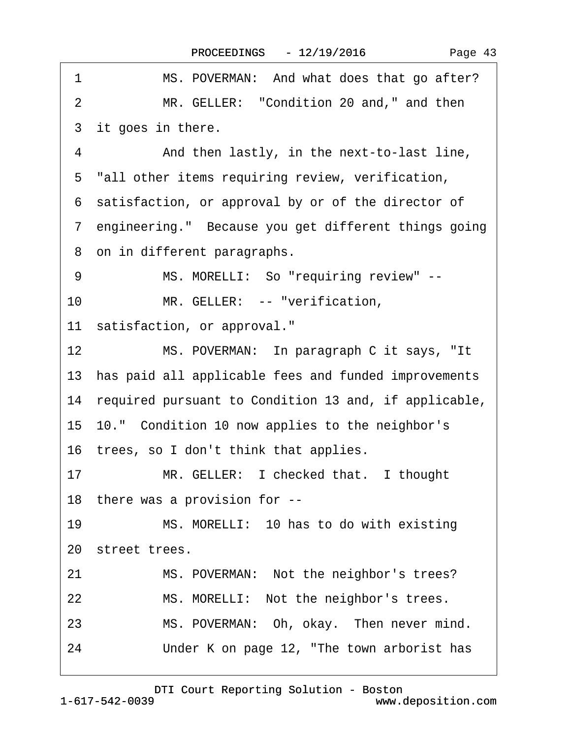| 1<br>MS. POVERMAN: And what does that go after?            |
|------------------------------------------------------------|
| MR. GELLER: "Condition 20 and," and then<br>$\overline{2}$ |
| 3 it goes in there.                                        |
| 4<br>And then lastly, in the next-to-last line,            |
| 5 "all other items requiring review, verification,         |
| 6 satisfaction, or approval by or of the director of       |
| 7 engineering." Because you get different things going     |
| 8 on in different paragraphs.                              |
| 9<br>MS. MORELLI: So "requiring review" --                 |
| 10 <sup>°</sup><br>MR. GELLER: -- "verification,           |
| 11 satisfaction, or approval."                             |
| 12<br>MS. POVERMAN: In paragraph C it says, "It            |
| 13 has paid all applicable fees and funded improvements    |
| 14 required pursuant to Condition 13 and, if applicable,   |
| 15 10." Condition 10 now applies to the neighbor's         |
| 16 trees, so I don't think that applies.                   |
| MR. GELLER: I checked that. I thought<br>17                |
| 18 there was a provision for --                            |
| MS. MORELLI: 10 has to do with existing<br>19              |
| 20 street trees.                                           |
| MS. POVERMAN: Not the neighbor's trees?<br>21              |
| 22<br>MS. MORELLI: Not the neighbor's trees.               |
| MS. POVERMAN: Oh, okay. Then never mind.<br>23             |
| Under K on page 12, "The town arborist has<br>24           |

<span id="page-42-0"></span> $\Gamma$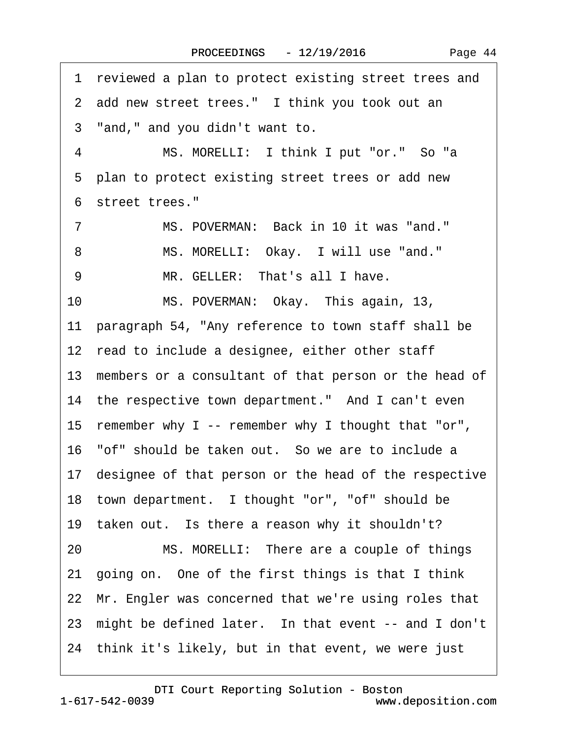<span id="page-43-0"></span>·1· reviewed a plan to protect existing street trees and 2 add new street trees." I think you took out an 3 "and," and you didn't want to. 4 MS. MORELLI: I think I put "or." So "a 5 plan to protect existing street trees or add new ·6· street trees." 7 MS. POVERMAN: Back in 10 it was "and." 8 MS. MORELLI: Okay. I will use "and." 9 MR. GELLER: That's all I have. 10 MS. POVERMAN: Okay. This again, 13, 11 paragraph 54, "Any reference to town staff shall be 12 read to include a designee, either other staff 13 members or a consultant of that person or the head of 14 the respective town department." And I can't even 15· remember why I -- remember why I thought that "or", 16 "of" should be taken out. So we are to include a 17 designee of that person or the head of the respective 18 town department. I thought "or", "of" should be 19 taken out. Is there a reason why it shouldn't? 20 MS. MORELLI: There are a couple of things 21· going on.· One of the first things is that I think 22 Mr. Engler was concerned that we're using roles that 23 might be defined later. In that event -- and I don't 24· think it's likely, but in that event, we were just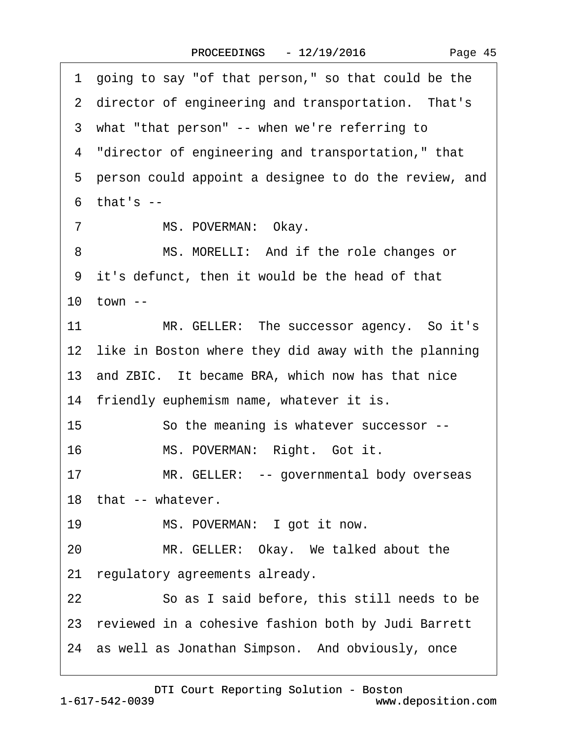|  | Page 45 |  |
|--|---------|--|
|--|---------|--|

<span id="page-44-0"></span>·1· going to say "of that person," so that could be the 2 director of engineering and transportation. That's 3 what "that person" -- when we're referring to ·4· "director of engineering and transportation," that 5 person could appoint a designee to do the review, and  $6$  that's  $-$ 7 MS. POVERMAN: Okay. 8 MS. MORELLI: And if the role changes or ·9· it's defunct, then it would be the head of that 10  $town -$ 11 MR. GELLER: The successor agency. So it's 12 like in Boston where they did away with the planning 13 and ZBIC. It became BRA, which now has that nice 14 friendly euphemism name, whatever it is. 15 So the meaning is whatever successor --16 MS. POVERMAN: Right. Got it. 17 MR. GELLER: -- governmental body overseas 18 that -- whatever. 19 MS. POVERMAN: I got it now. 20 MR. GELLER: Okay. We talked about the 21 regulatory agreements already. 22 **· · · · So as I said before, this still needs to be** 23 reviewed in a cohesive fashion both by Judi Barrett 24 as well as Jonathan Simpson. And obviously, once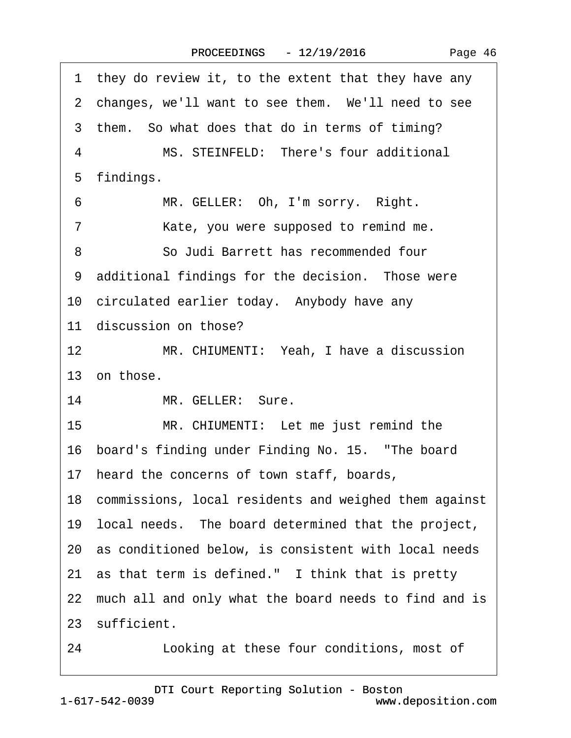<span id="page-45-0"></span>

| they do review it, to the extent that they have any<br>1. |
|-----------------------------------------------------------|
| 2 changes, we'll want to see them. We'll need to see      |
| 3 them. So what does that do in terms of timing?          |
| MS. STEINFELD: There's four additional<br>$\overline{4}$  |
| 5 findings.                                               |
| 6<br>MR. GELLER: Oh, I'm sorry. Right.                    |
| Kate, you were supposed to remind me.<br>7                |
| 8<br>So Judi Barrett has recommended four                 |
| 9 additional findings for the decision. Those were        |
| 10 circulated earlier today. Anybody have any             |
| 11 discussion on those?                                   |
| 12<br>MR. CHIUMENTI: Yeah, I have a discussion            |
| 13 on those.                                              |
| 14<br>MR. GELLER: Sure.                                   |
| 15 <sup>15</sup><br>MR. CHIUMENTI: Let me just remind the |
| 16 board's finding under Finding No. 15. "The board       |
| 17 heard the concerns of town staff, boards,              |
| 18 commissions, local residents and weighed them against  |
| 19 local needs. The board determined that the project,    |
| 20 as conditioned below, is consistent with local needs   |
| 21 as that term is defined." I think that is pretty       |
|                                                           |
| 22 much all and only what the board needs to find and is  |
| 23 sufficient.                                            |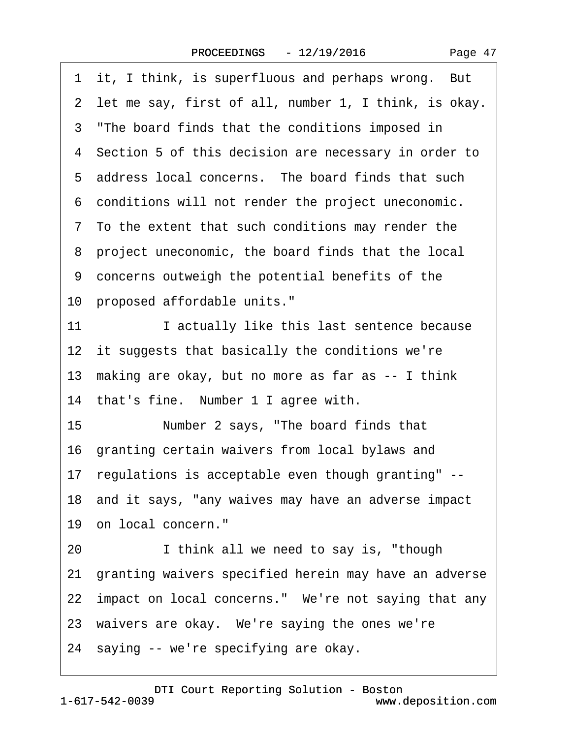<span id="page-46-0"></span>1 it, I think, is superfluous and perhaps wrong. But 2 let me say, first of all, number 1, I think, is okay. 3 "The board finds that the conditions imposed in 4 Section 5 of this decision are necessary in order to 5 address local concerns. The board finds that such ·6· conditions will not render the project uneconomic. ·7· To the extent that such conditions may render the ·8· project uneconomic, the board finds that the local ·9· concerns outweigh the potential benefits of the 10 proposed affordable units." 11 **I** actually like this last sentence because 12 it suggests that basically the conditions we're 13· making are okay, but no more as far as -- I think 14 that's fine. Number 1 I agree with. 15 Number 2 says, "The board finds that 16 granting certain waivers from local bylaws and 17· regulations is acceptable even though granting" -- 18 and it says, "any waives may have an adverse impact 19 on local concern." 20 I think all we need to say is, "though 21· granting waivers specified herein may have an adverse 22 impact on local concerns." We're not saying that any 23 waivers are okay. We're saying the ones we're 24 saying -- we're specifying are okay.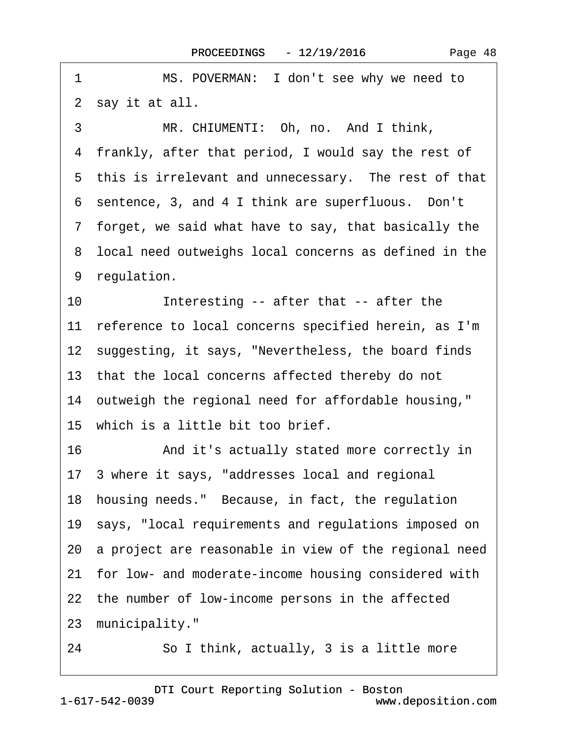2 say it at all. 3 MR. CHIUMENTI: Oh, no. And I think, ·4· frankly, after that period, I would say the rest of 5 this is irrelevant and unnecessary. The rest of that 6 sentence, 3, and 4 I think are superfluous. Don't ·7· forget, we said what have to say, that basically the 8 local need outweighs local concerns as defined in the 9 regulation. 10 Interesting -- after that -- after the 11 reference to local concerns specified herein, as I'm 12 suggesting, it says, "Nevertheless, the board finds 13 that the local concerns affected thereby do not 14 outweigh the regional need for affordable housing," 15 which is a little bit too brief. 16 • And it's actually stated more correctly in 17· 3 where it says, "addresses local and regional 18· housing needs."· Because, in fact, the regulation 19 says, "local requirements and regulations imposed on 20 a project are reasonable in view of the regional need 21 for low- and moderate-income housing considered with 22 the number of low-income persons in the affected 23 municipality." 24 So I think, actually, 3 is a little more

<span id="page-47-0"></span>1 MS. POVERMAN: I don't see why we need to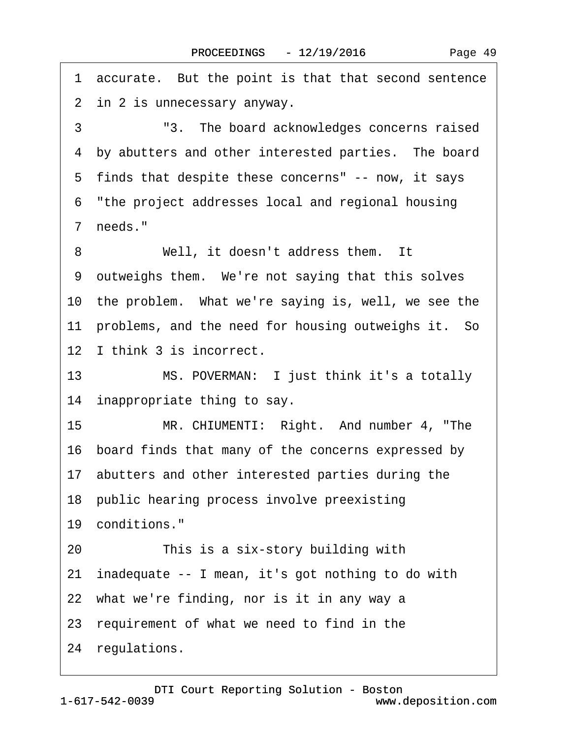<span id="page-48-0"></span>1 accurate. But the point is that that second sentence 2 in 2 is unnecessary anyway. 3 <sup>3</sup> 3. The board acknowledges concerns raised

4 by abutters and other interested parties. The board

5 finds that despite these concerns" -- now, it says

·6· "the project addresses local and regional housing

7 needs."

8 Well, it doesn't address them. It

9 outweighs them. We're not saying that this solves

10 the problem. What we're saying is, well, we see the

11 problems, and the need for housing outweighs it. So

12 I think 3 is incorrect.

13 MS. POVERMAN: I just think it's a totally 14 inappropriate thing to say.

15 MR. CHIUMENTI: Right. And number 4, "The

16· board finds that many of the concerns expressed by

17 abutters and other interested parties during the

18 public hearing process involve preexisting

19 conditions."

20 This is a six-story building with

21· inadequate -- I mean, it's got nothing to do with

22 what we're finding, nor is it in any way a

23· requirement of what we need to find in the

24 regulations.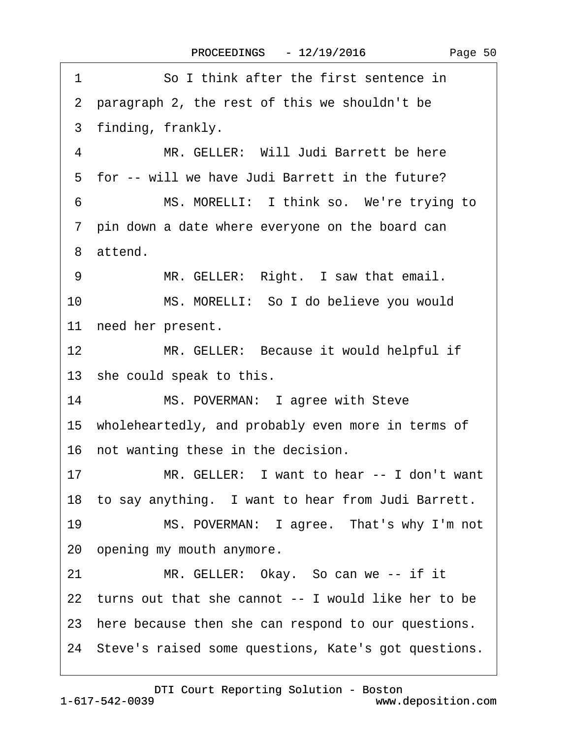| 1  | So I think after the first sentence in                  |
|----|---------------------------------------------------------|
|    | 2 paragraph 2, the rest of this we shouldn't be         |
|    | 3 finding, frankly.                                     |
| 4  | MR. GELLER: Will Judi Barrett be here                   |
|    | 5 for -- will we have Judi Barrett in the future?       |
| 6  | MS. MORELLI: I think so. We're trying to                |
|    | 7 pin down a date where everyone on the board can       |
|    | 8 attend.                                               |
| 9  | MR. GELLER: Right. I saw that email.                    |
| 10 | MS. MORELLI: So I do believe you would                  |
|    | 11 need her present.                                    |
| 12 | MR. GELLER: Because it would helpful if                 |
|    | 13 she could speak to this.                             |
| 14 | MS. POVERMAN: I agree with Steve                        |
|    | 15 wholeheartedly, and probably even more in terms of   |
|    | 16 not wanting these in the decision.                   |
| 17 | MR. GELLER: I want to hear -- I don't want              |
|    | 18 to say anything. I want to hear from Judi Barrett.   |
| 19 | MS. POVERMAN: I agree. That's why I'm not               |
|    | 20 opening my mouth anymore.                            |
| 21 | MR. GELLER: Okay. So can we -- if it                    |
|    | 22 turns out that she cannot -- I would like her to be  |
|    | 23 here because then she can respond to our questions.  |
|    | 24 Steve's raised some questions, Kate's got questions. |
|    |                                                         |

<span id="page-49-0"></span> $\sqrt{ }$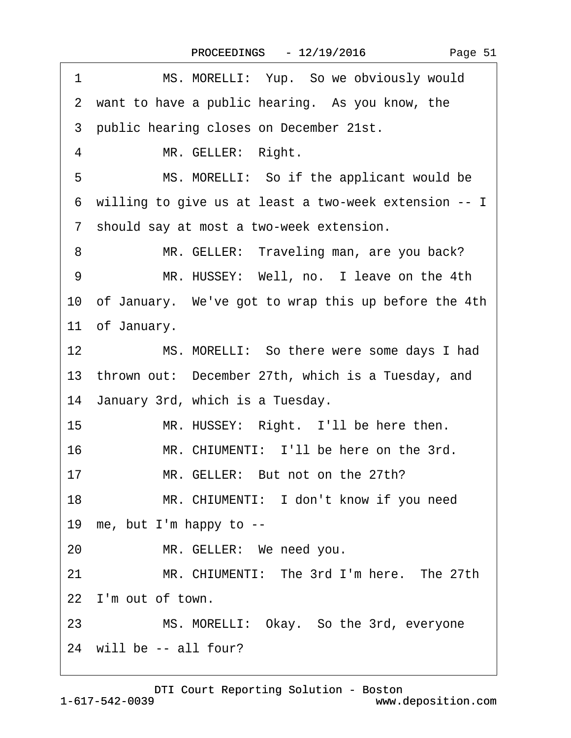|  | Page 51 |  |
|--|---------|--|
|--|---------|--|

<span id="page-50-0"></span>

| 1               | MS. MORELLI: Yup. So we obviously would                 |
|-----------------|---------------------------------------------------------|
|                 | 2 want to have a public hearing. As you know, the       |
|                 | 3 public hearing closes on December 21st.               |
| 4               | MR. GELLER: Right.                                      |
| 5               | MS. MORELLI: So if the applicant would be               |
|                 | 6 willing to give us at least a two-week extension -- I |
|                 | 7 should say at most a two-week extension.              |
| 8               | MR. GELLER: Traveling man, are you back?                |
| 9               | MR. HUSSEY: Well, no. I leave on the 4th                |
|                 | 10 of January. We've got to wrap this up before the 4th |
|                 | 11 of January.                                          |
| 12 <sub>2</sub> | MS. MORELLI: So there were some days I had              |
|                 | 13 thrown out: December 27th, which is a Tuesday, and   |
|                 | 14 January 3rd, which is a Tuesday.                     |
| 15              | MR. HUSSEY: Right. I'll be here then.                   |
| 16              | MR. CHIUMENTI: I'll be here on the 3rd.                 |
| 17              | MR. GELLER: But not on the 27th?                        |
| 18              | MR. CHIUMENTI: I don't know if you need                 |
|                 | 19 me, but I'm happy to --                              |
| 20              | MR. GELLER: We need you.                                |
| 21              | MR. CHIUMENTI: The 3rd I'm here. The 27th               |
|                 | 22 I'm out of town.                                     |
| 23              | MS. MORELLI: Okay. So the 3rd, everyone                 |
|                 | 24 will be -- all four?                                 |
|                 |                                                         |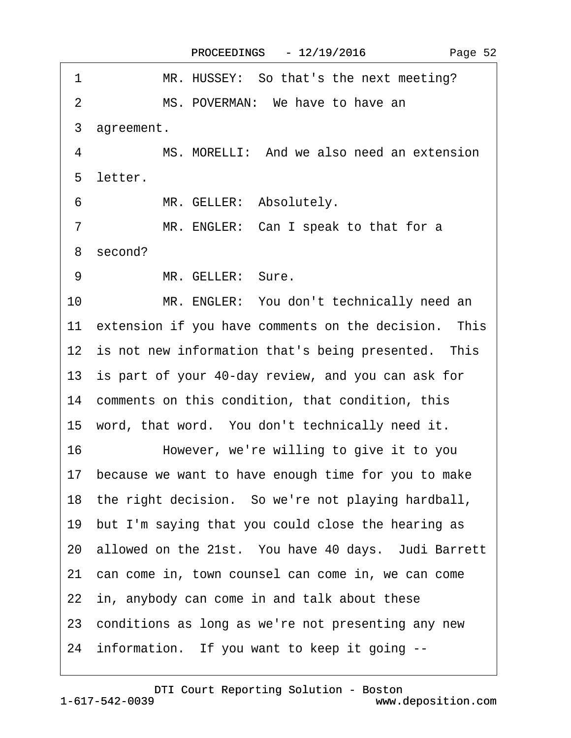<span id="page-51-0"></span>

| 1<br>MR. HUSSEY: So that's the next meeting?                 |
|--------------------------------------------------------------|
| MS. POVERMAN: We have to have an<br>2                        |
| 3 agreement.                                                 |
| $\overline{4}$<br>MS. MORELLI: And we also need an extension |
| 5 letter.                                                    |
| 6<br>MR. GELLER: Absolutely.                                 |
| MR. ENGLER: Can I speak to that for a<br>7                   |
| 8 second?                                                    |
| MR. GELLER: Sure.<br>9                                       |
| 10 <sup>°</sup><br>MR. ENGLER: You don't technically need an |
| 11 extension if you have comments on the decision. This      |
| 12 is not new information that's being presented. This       |
| 13 is part of your 40-day review, and you can ask for        |
| 14 comments on this condition, that condition, this          |
| 15 word, that word. You don't technically need it.           |
| 16<br>However, we're willing to give it to you               |
| 17 because we want to have enough time for you to make       |
| 18 the right decision. So we're not playing hardball,        |
| 19 but I'm saying that you could close the hearing as        |
| 20 allowed on the 21st. You have 40 days. Judi Barrett       |
| 21 can come in, town counsel can come in, we can come        |
| 22 in, anybody can come in and talk about these              |
| 23 conditions as long as we're not presenting any new        |
| 24 information. If you want to keep it going --              |

1-617-542-0039 [DTI Court Reporting Solution - Boston](http://www.deposition.com) www.deposition.com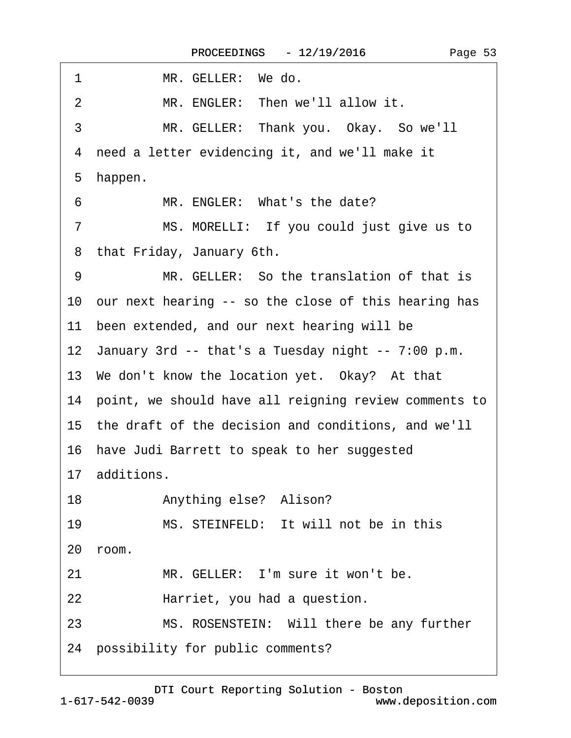<span id="page-52-0"></span>

| MR. GELLER: We do.<br>1                                  |
|----------------------------------------------------------|
| MR. ENGLER: Then we'll allow it.<br>2                    |
| 3<br>MR. GELLER: Thank you. Okay. So we'll               |
| need a letter evidencing it, and we'll make it<br>4      |
| 5<br>happen.                                             |
| MR. ENGLER: What's the date?<br>6                        |
| MS. MORELLI: If you could just give us to<br>7           |
| that Friday, January 6th.<br>8                           |
| MR. GELLER: So the translation of that is<br>9           |
| 10 our next hearing -- so the close of this hearing has  |
| 11 been extended, and our next hearing will be           |
| 12 January 3rd -- that's a Tuesday night -- 7:00 p.m.    |
| 13 We don't know the location yet. Okay? At that         |
| 14 point, we should have all reigning review comments to |
| 15 the draft of the decision and conditions, and we'll   |
| 16 have Judi Barrett to speak to her suggested           |
| 17 additions.                                            |
| Anything else? Alison?<br>18                             |
| MS. STEINFELD: It will not be in this<br>19              |
| 20 room.                                                 |
| MR. GELLER: I'm sure it won't be.<br>21                  |
| 22<br>Harriet, you had a question.                       |
| MS. ROSENSTEIN: Will there be any further<br>23          |
| 24 possibility for public comments?                      |
|                                                          |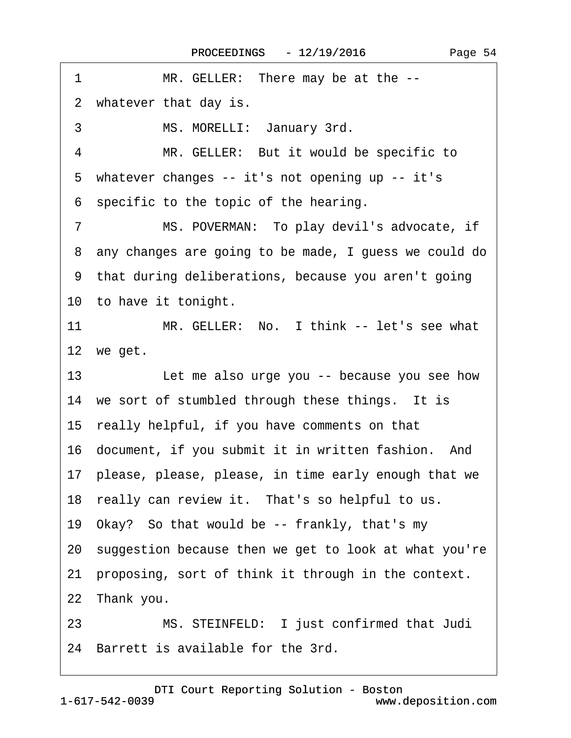<span id="page-53-0"></span>1 MR. GELLER: There may be at the --2 whatever that day is. 3 MS. MORELLI: January 3rd. 4 MR. GELLER: But it would be specific to 5 whatever changes -- it's not opening up -- it's ·6· specific to the topic of the hearing. 7 MS. POVERMAN: To play devil's advocate, if ·8· any changes are going to be made, I guess we could do 9 that during deliberations, because you aren't going 10 to have it tonight. 11 MR. GELLER: No. I think -- let's see what 12 we get. 13 **Let me also urge you -- because you see how** 14 we sort of stumbled through these things. It is 15· really helpful, if you have comments on that 16· document, if you submit it in written fashion.· And 17· please, please, please, in time early enough that we 18 really can review it. That's so helpful to us. 19· Okay?· So that would be -- frankly, that's my 20· suggestion because then we get to look at what you're 21 proposing, sort of think it through in the context. 22 Thank you. 23 MS. STEINFELD: I just confirmed that Judi 24 Barrett is available for the 3rd.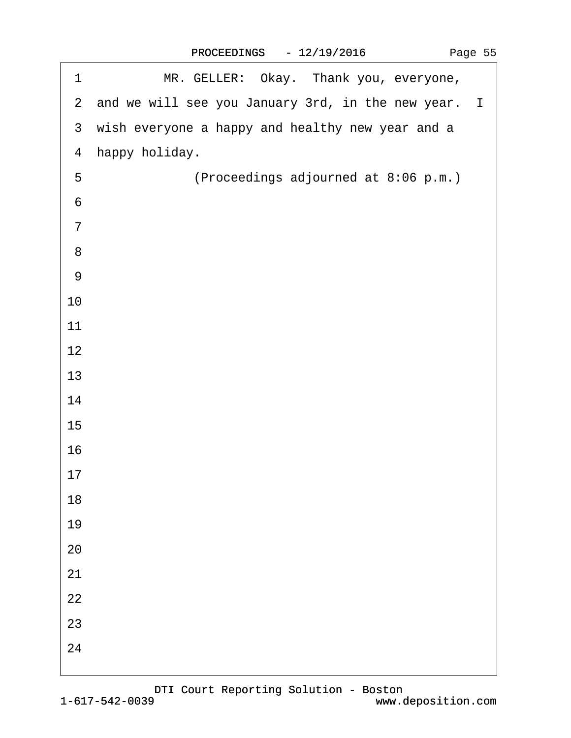|  | Page 55 |  |
|--|---------|--|
|--|---------|--|

<span id="page-54-0"></span>

| 1                | MR. GELLER: Okay. Thank you, everyone,                |
|------------------|-------------------------------------------------------|
|                  | 2 and we will see you January 3rd, in the new year. I |
|                  | 3 wish everyone a happy and healthy new year and a    |
|                  | 4 happy holiday.                                      |
| 5                | (Proceedings adjourned at 8:06 p.m.)                  |
| $\,6$            |                                                       |
| $\overline{7}$   |                                                       |
| $\bf 8$          |                                                       |
| $\boldsymbol{9}$ |                                                       |
| 10               |                                                       |
| 11               |                                                       |
| 12               |                                                       |
| 13               |                                                       |
| 14               |                                                       |
| 15               |                                                       |
| 16               |                                                       |
| 17               |                                                       |
| 18               |                                                       |
| 19               |                                                       |
| 20               |                                                       |
| 21               |                                                       |
| 22               |                                                       |
| 23               |                                                       |
| 24               |                                                       |
|                  |                                                       |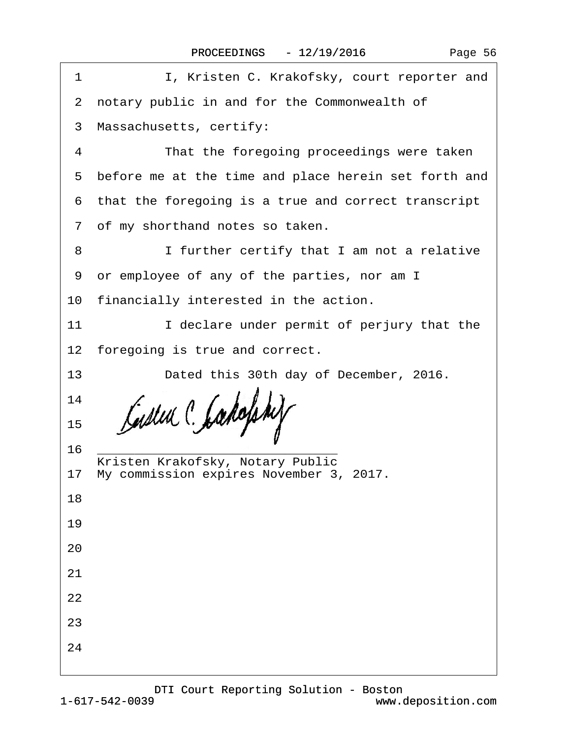| 1  | I, Kristen C. Krakofsky, court reporter and            |
|----|--------------------------------------------------------|
|    | 2 notary public in and for the Commonwealth of         |
|    | 3 Massachusetts, certify:                              |
| 4  | That the foregoing proceedings were taken              |
|    | 5 before me at the time and place herein set forth and |
|    | 6 that the foregoing is a true and correct transcript  |
|    | 7 of my shorthand notes so taken.                      |
| 8  | I further certify that I am not a relative             |
|    | 9 or employee of any of the parties, nor am I          |
|    | 10 financially interested in the action.               |
| 11 | I declare under permit of perjury that the             |
|    | 12 foregoing is true and correct.                      |
| 13 | Dated this 30th day of December, 2016.                 |
| 14 |                                                        |
| 15 |                                                        |
| 16 | Kristen Krakofsky, Notary Public                       |
|    | 17 My commission expires November 3, 2017.             |
| 18 |                                                        |
| 19 |                                                        |
| 20 |                                                        |
| 21 |                                                        |
| 22 |                                                        |
| 23 |                                                        |
| 24 |                                                        |
|    |                                                        |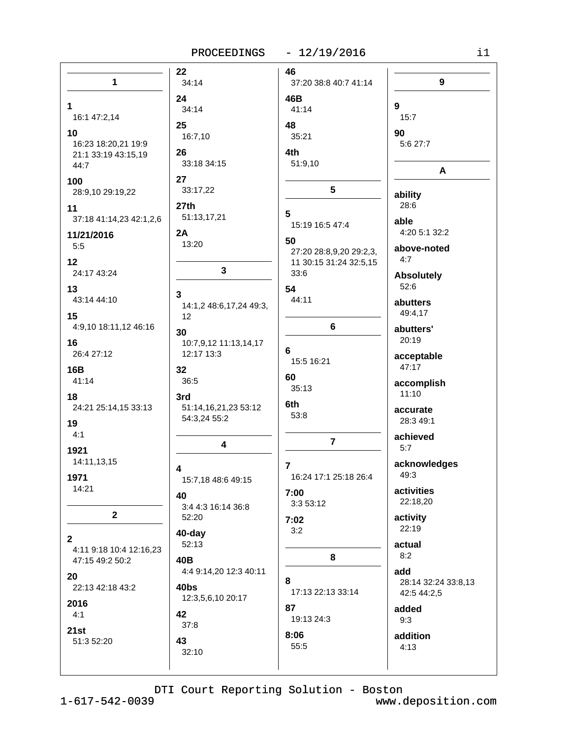## PROCEEDINGS - 12/19/2016

| n e s |  |
|-------|--|
|       |  |
|       |  |
|       |  |

|                                         | 22                                               | 46                      |                           |
|-----------------------------------------|--------------------------------------------------|-------------------------|---------------------------|
| $\mathbf{1}$                            | 34:14                                            | 37:20 38:8 40:7 41:14   | 9                         |
|                                         | 24                                               | 46B                     |                           |
| 1.<br>16:1 47:2,14                      | 34:14                                            | 41:14                   | 9<br>15:7                 |
|                                         | 25                                               | 48                      |                           |
| 10                                      | 16:7,10                                          | 35:21                   | 90                        |
| 16:23 18:20,21 19:9                     | 26                                               | 4th                     | 5:6 27:7                  |
| 21:1 33:19 43:15,19<br>44:7             | 33:18 34:15                                      | 51:9,10                 |                           |
|                                         |                                                  |                         | A                         |
| 100                                     | 27<br>33:17,22                                   | $5\phantom{.0}$         |                           |
| 28:9,10 29:19,22                        |                                                  |                         | ability                   |
| 11                                      | 27th                                             | 5                       | 28:6                      |
| 37:18 41:14,23 42:1,2,6                 | 51:13,17,21                                      | 15:19 16:5 47:4         | able                      |
| 11/21/2016                              | 2A                                               | 50                      | 4:20 5:1 32:2             |
| 5:5                                     | 13:20                                            | 27:20 28:8,9,20 29:2,3, | above-noted               |
| 12                                      |                                                  | 11 30:15 31:24 32:5,15  | 4:7                       |
| 24:17 43:24                             | $\mathbf 3$                                      | 33:6                    | <b>Absolutely</b>         |
| 13                                      |                                                  | 54                      | 52:6                      |
| 43:14 44:10                             | $\mathbf{3}$                                     | 44:11                   | abutters                  |
|                                         | 14:1,2 48:6,17,24 49:3,                          |                         | 49:4,17                   |
| 15<br>4:9,10 18:11,12 46:16             | 12                                               | 6                       |                           |
|                                         | 30                                               |                         | abutters'<br>20:19        |
| 16                                      | 10:7,9,12 11:13,14,17                            | 6                       |                           |
| 26:4 27:12                              | 12:17 13:3                                       | 15:5 16:21              | acceptable                |
| 16B                                     | 32                                               |                         | 47:17                     |
| 41:14                                   | 36:5                                             | 60<br>35:13             | accomplish                |
| 18                                      | 3rd                                              |                         | 11:10                     |
| 24:21 25:14,15 33:13                    | 51:14,16,21,23 53:12                             | 6th                     | accurate                  |
| 19                                      | 54:3,24 55:2                                     | 53:8                    | 28:3 49:1                 |
| 4:1                                     |                                                  |                         | achieved                  |
| 1921                                    | $\overline{\mathbf{4}}$                          | $\overline{7}$          | 5:7                       |
| 14:11,13,15                             |                                                  |                         |                           |
|                                         | 4                                                | 7                       | acknowledges<br>49:3      |
| 1971                                    | 15:7,18 48:6 49:15                               | 16:24 17:1 25:18 26:4   |                           |
| 14:21                                   | 40                                               | 7:00                    | activities                |
|                                         | 3:4 4:3 16:14 36:8                               | 3:3 53:12               | 22:18,20                  |
| $\mathbf{2}$                            | 52:20                                            | 7:02                    | activity                  |
|                                         | 40-day                                           | 3:2                     | 22:19                     |
| $\mathbf{2}$<br>4:11 9:18 10:4 12:16,23 | 52:13                                            |                         | actual                    |
| 47:15 49:2 50:2                         | 40B                                              | 8                       | 8:2                       |
|                                         | 4:4 9:14,20 12:3 40:11                           |                         | add                       |
|                                         |                                                  | 8                       | 28:14 32:24 33:8,13       |
|                                         |                                                  | 17:13 22:13 33:14       | 42:5 44:2,5               |
| 2016                                    |                                                  | 87                      |                           |
|                                         |                                                  | 19:13 24:3              | 9:3                       |
| 21st                                    |                                                  |                         |                           |
| 51:3 52:20                              | 43                                               |                         |                           |
|                                         |                                                  |                         |                           |
| 20<br>22:13 42:18 43:2<br>4:1           | 40bs<br>12:3,5,6,10 20:17<br>42<br>37:8<br>32:10 | 8:06<br>55:5            | added<br>addition<br>4:13 |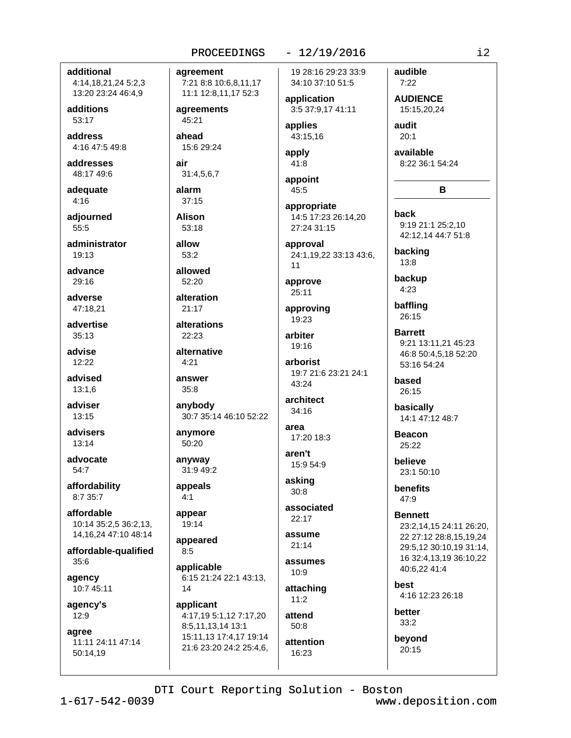## additional

4:14,18,21,24 5:2,3 13:20 23:24 46:4,9

additions 53:17

address 4:16 47:5 49:8

addresses 48:17 49:6

adequate  $4:16$ 

adiourned 55:5

administrator  $19:13$ 

advance  $29.16$ 

adverse 47:18.21

advertise 35:13

advise  $12:22$ 

advised  $13:1,6$ 

adviser 13:15

advisers  $13:14$ 

advocate 54:7

affordability 8:7 35:7

affordable 10:14 35:2,5 36:2,13, 14, 16, 24 47: 10 48: 14

affordable-qualified  $35:6$ 

agency 10:7 45:11

agency's  $12:9$ 

agree 11:11 24:11 47:14 50:14.19

PROCEEDINGS

agreement 7:21 8:8 10:6,8,11,17 11:1 12:8,11,17 52:3

agreements 45:21

ahead 15:6 29:24

air 31:4,5,6,7

alarm 37:15

**Alison** 53:18

allow  $53:2$ 

allowed  $52.20$ 

alteration

 $21:17$ alterations 22:23

alternative  $4:21$ 

answer  $35:8$ 

anybody 30:7 35:14 46:10 52:22

anymore 50:20

anyway 31:9 49:2

appeals  $4:1$ 

appear 19:14

appeared  $8:5$ 

applicable 6:15 21:24 22:1 43:13, 14

applicant 4:17,19 5:1,12 7:17,20 8:5,11,13,14 13:1 15:11.13 17:4.17 19:14 21:6 23:20 24:2 25:4,6,  $-12/19/2016$ 

19 28:16 29:23 33:9 34:10 37:10 51:5

application 3:5 37:9,17 41:11

applies 43:15,16

apply 41:8

```
appoint
45:5
```
appropriate 14:5 17:23 26:14.20 27:24 31:15

approval 24:1,19,22 33:13 43:6,  $11$ 

approve 25:11

approving 19:23

arbiter 19:16

arborist 19:7 21:6 23:21 24:1 43:24

```
architect
34:16
```
area 17:20 18:3

aren't 15:9 54:9

asking  $30:8$ 

associated  $22:17$ 

assume  $21:14$ 

assumes  $10:9$ 

attaching  $11:2$ 

attend  $50.8$ attention

 $16:23$ 

beyond 20:15

**AUDIENCE** 15:15,20,24

audit  $20:1$ 

audible

 $7:22$ 

available 8:22 36:1 54:24

B

hack 9:19 21:1 25:2,10 42:12,14 44:7 51:8

backing 13:8

backup  $4:23$ 

baffling 26:15

**Barrett** 9:21 13:11,21 45:23 46:8 50:4,5,18 52:20 53:16 54:24

based  $26:15$ 

basically 14:1 47:12 48:7

**Beacon**  $25:22$ 

believe 23:1 50:10

**benefits**  $47:9$ 

**Bennett** 23:2,14,15 24:11 26:20. 22 27:12 28:8.15.19.24 29:5,12 30:10,19 31:14, 16 32:4,13,19 36:10,22 40:6,22 41:4

hest 4:16 12:23 26:18

better  $33:2$ 

DTI Court Reporting Solution - Boston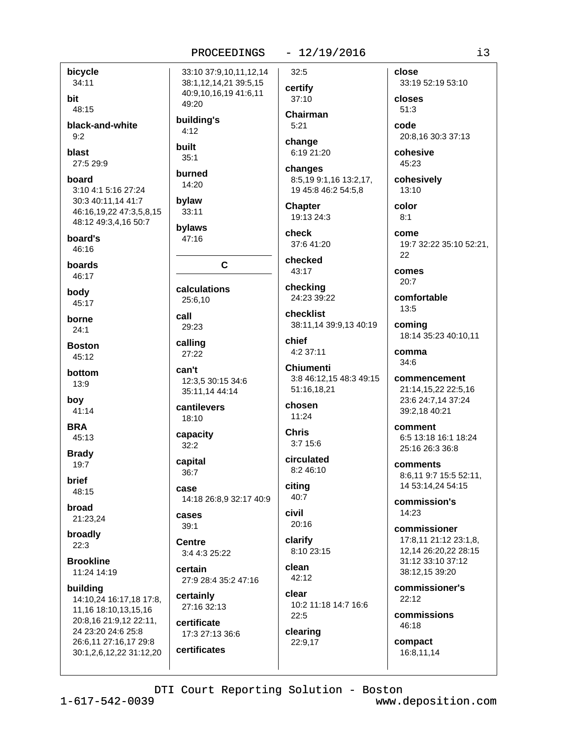#### $-12/19/2016$

bicycle  $34:11$ bit

48:15 black-and-white

 $9:2$ 

blast 27:5 29:9

board 3:10 4:1 5:16 27:24 30:3 40:11,14 41:7 46:16,19,22 47:3,5,8,15

48:12 49:3.4.16 50:7 board's  $46:16$ 

boards 46:17

body 45:17

borne  $24:1$ 

**Boston**  $45:12$ 

hottom 13:9

boy 41:14

**BRA** 

45:13 **Brady** 

 $19:7$ 

**brief** 48:15

broad 21:23,24

broadly  $22:3$ 

**Brookline** 11:24 14:19

building 14:10,24 16:17,18 17:8, 11,16 18:10,13,15,16 20:8,16 21:9,12 22:11, 24 23:20 24:6 25:8 26:6,11 27:16,17 29:8 30:1,2,6,12,22 31:12,20

 $32:5$ 33:10 37:9,10,11,12,14 38:1,12,14,21 39:5,15 40:9,10,16,19 41:6,11 49:20 building's  $5.21$  $4:12$ **built**  $35:1$ burned 14:20 bylaw 33:11 bylaws 47:16  $\mathbf{C}$ calculations 25:6,10 29:23 calling 27:22 can't 12:3,5 30:15 34:6 35:11,14 44:14 cantilevers 18:10 **Chris** capacity  $32:2$ capital 36:7 citing case 14:18 26:8,9 32:17 40:9 civil cases  $39:1$ clarify Centre 3:4 4:3 25:22 clean certain 27:9 28:4 35:2 47:16

call

certainly 27:16 32:13 certificate

17:3 27:13 36:6 certificates

certify  $37:10$ Chairman

change 6:19 21:20

changes 8:5,19 9:1,16 13:2,17, 19 45:8 46:2 54:5,8

**Chapter** 19:13 24:3

check 37:6 41:20

checked 43:17

checking 24:23 39:22

checklist 38:11.14 39:9.13 40:19

chief 4:2 37:11

**Chiumenti** 3:8 46:12,15 48:3 49:15 51:16,18,21

chosen  $11:24$ 

 $3:715:6$ 

circulated 8:2 46:10

40:7

20:16

8:10 23:15

 $42:12$ 

clear 10:2 11:18 14:7 16:6  $22:5$ 

clearing 22:9,17

close 33:19 52:19 53:10 closes

 $51:3$ code 20:8,16 30:3 37:13

cohesive  $45:23$ 

cohesively 13:10

> color  $8:1$

come 19:7 32:22 35:10 52:21, 22

comes  $20.7$ 

comfortable  $13:5$ 

comina 18:14 35:23 40:10,11

comma  $34:6$ 

commencement 21:14,15,22 22:5,16 23:6 24:7,14 37:24 39:2,18 40:21

comment 6:5 13:18 16:1 18:24 25:16.26:3.36:8

comments 8:6.11 9:7 15:5 52:11. 14 53:14,24 54:15

commission's  $14.23$ 

commissioner 17:8.11 21:12 23:1.8. 12.14 26:20.22 28:15 31:12 33:10 37:12 38:12,15 39:20

commissioner's  $22:12$ 

commissions 46:18

compact 16:8.11.14

DTI Court Reporting Solution - Boston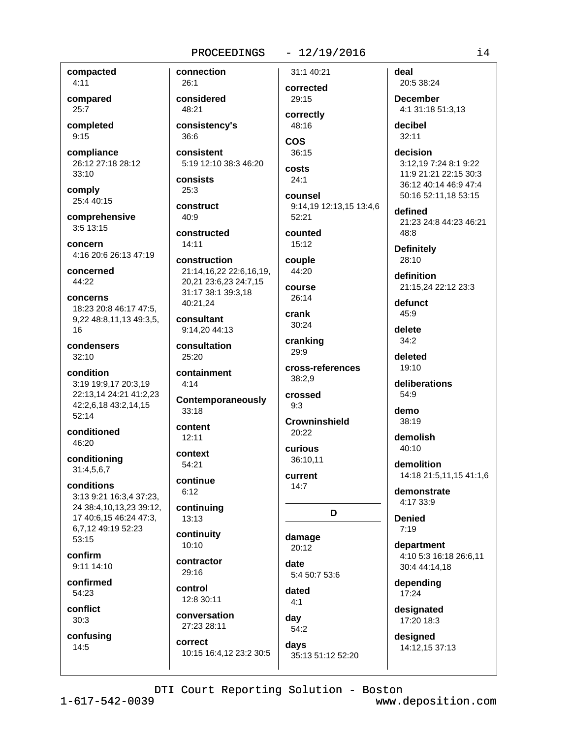#### $-12/19/2016$

compacted  $4:11$ 

compared  $25:7$ 

completed  $9:15$ 

compliance 26:12 27:18 28:12  $33:10$ 

comply 25:4 40:15

comprehensive  $3:5$  13:15

concern 4:16 20:6 26:13 47:19

concerned  $44.22$ 

concerns 18:23 20:8 46:17 47:5. 9,22 48:8,11,13 49:3,5, 16

condensers  $32:10$ 

condition 3:19 19:9,17 20:3,19 22:13,14 24:21 41:2,23 42:2,6,18 43:2,14,15  $52:14$ 

conditioned 46:20

conditioning 31:4,5,6,7

conditions 3:13 9:21 16:3,4 37:23, 24 38:4,10,13,23 39:12, 17 40:6,15 46:24 47:3, 6,7,12 49:19 52:23 53:15

confirm  $9:11$  14:10

confirmed 54:23

conflict  $30:3$ 

confusing

 $14:5$ 

consistency's 36:6 consistent 5:19 12:10 38:3 46:20 consists  $25:3$ 

> construct 40:9

connection

considered

 $26.1$ 

48:21

constructed  $14:11$ 

construction 21:14.16.22 22:6.16.19. 20,21 23:6,23 24:7,15 31:17 38:1 39:3,18 40:21.24

consultant 9:14.20 44:13

consultation  $25:20$ 

containment  $4:14$ 

Contemporaneously  $33:18$ 

content  $12:11$ 

context 54:21

continue  $6:12$ 

continuing 13:13

continuity  $10:10$ 

contractor  $29.16$ 

control 12:8 30:11

conversation 27:23 28:11

correct 10:15 16:4,12 23:2 30:5 corrected 29:15 correctly

31:1 40:21

48:16 **COS** 36:15

costs  $24:1$ 

counsel 9:14.19 12:13.15 13:4.6 52:21

counted  $15:12$ 

couple 44:20

course 26:14

crank 30:24

cranking 29:9

 $38:2.9$ crossed

cross-references

 $9:3$ **Crowninshield** 

 $20:22$ curious

36:10.11 current

 $14:7$ 

D

damage  $20:12$ 

date 5:4 50:7 53:6

dated  $4:1$ 

day  $54:2$ days 35:13 51:12 52:20 deal 20:5 38:24

**December** 4:1 31:18 51:3.13

decibel 32:11

decision 3:12,19 7:24 8:1 9:22 11:9 21:21 22:15 30:3 36:12 40:14 46:9 47:4 50:16 52:11,18 53:15

defined 21:23 24:8 44:23 46:21 48:8

**Definitely** 28:10

definition 21:15,24 22:12 23:3

defunct 45:9 delete

 $34:2$ deleted

 $19.10$ 

deliberations  $54:9$ 

demo 38:19

demolish  $40:10$ 

demolition 14:18 21:5,11,15 41:1,6

demonstrate 4:17 33:9

**Denied**  $7:19$ 

department 4:10 5:3 16:18 26:6.11 30:4 44:14.18

depending 17:24

designated 17:20 18:3

designed 14:12,15 37:13

DTI Court Reporting Solution - Boston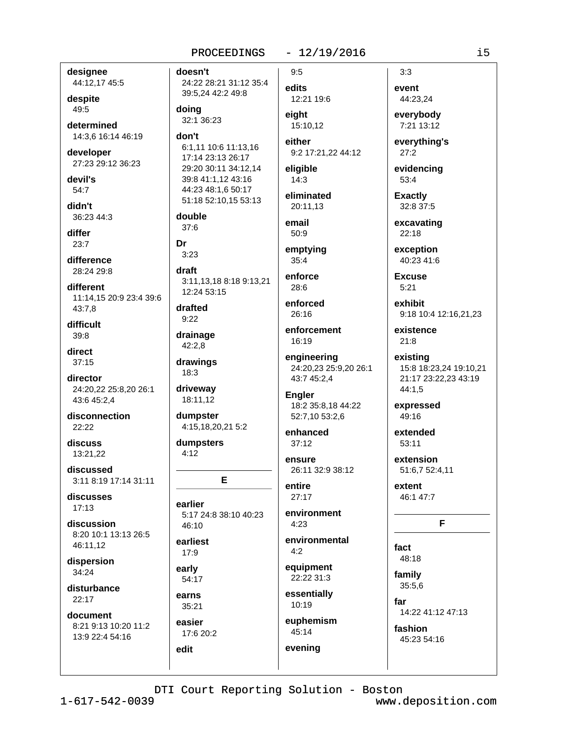### $-12/19/2016$

designee 44:12,17 45:5

despite 49:5

determined 14:3,6 16:14 46:19

developer 27:23 29:12 36:23

devil's 54:7

didn't 36:23 44:3

differ  $23:7$ 

difference 28:24 29:8

different 11:14.15 20:9 23:4 39:6 43:7,8

difficult  $39:8$ 

direct  $37:15$ 

director 24:20,22 25:8,20 26:1 43:6 45:2,4

disconnection  $22.22$ 

discuss 13:21.22

discussed 3:11 8:19 17:14 31:11

discusses  $17:13$ 

discussion 8:20 10:1 13:13 26:5 46:11.12

dispersion  $34:24$ 

disturbance 22:17

document 8:21 9:13 10:20 11:2 13:9 22:4 54:16

doesn't 24:22 28:21 31:12 35:4 39:5,24 42:2 49:8

doing 32:1 36:23

don't 6:1.11 10:6 11:13.16 17:14 23:13 26:17 29:20 30:11 34:12,14 39:8 41:1,12 43:16 44:23 48:1.6 50:17 51:18 52:10,15 53:13

double  $37:6$ 

Dr  $3.23$ 

draft 3:11,13,18 8:18 9:13,21 12:24 53:15

drafted  $9:22$ 

drainage  $42:2,8$ drawings

 $18:3$ 

driveway 18:11,12

dumpster 4:15,18,20,21 5:2

dumpsters  $4:12$ 

E

earlier 5:17 24:8 38:10 40:23  $46.10$ 

earliest  $17:9$ 

early 54:17

earns 35:21

easier 17:6 20:2 edit

edits 12:21 19:6 eiaht

 $9:5$ 

15:10.12 either 9:2 17:21,22 44:12

eligible  $14:3$ 

eliminated 20:11.13

email  $50:9$ 

emptying 35:4

enforce  $28:6$ 

enforced 26:16

enforcement 16:19

engineering 24:20,23 25:9,20 26:1 43:7 45:2.4

**Engler** 18:2 35:8,18 44:22 52:7,10 53:2,6

enhanced  $37:12$ 

ensure 26:11 32:9 38:12

entire  $27:17$ 

environment  $4:23$ 

environmental  $4:2$ 

equipment 22:22 31:3

essentially 10:19

euphemism 45:14

evening

 $3:3$ event 44:23,24

everybody 7:21 13:12

everything's  $27:2$ 

evidencing 53:4

**Exactly** 32:8 37:5

excavating  $22:18$ 

exception 40:23 41:6

Excuse  $5:21$ 

exhibit 9:18 10:4 12:16,21,23

existence  $21:8$ 

existing 15:8 18:23,24 19:10,21 21:17 23:22,23 43:19 44:1,5

expressed 49:16

extended  $53:11$ 

extension 51:6,7 52:4,11

extent 46:1 47:7

#### F

fact 48:18 family

35:5,6

far 14:22 41:12 47:13

fashion 45:23 54:16

DTI Court Reporting Solution - Boston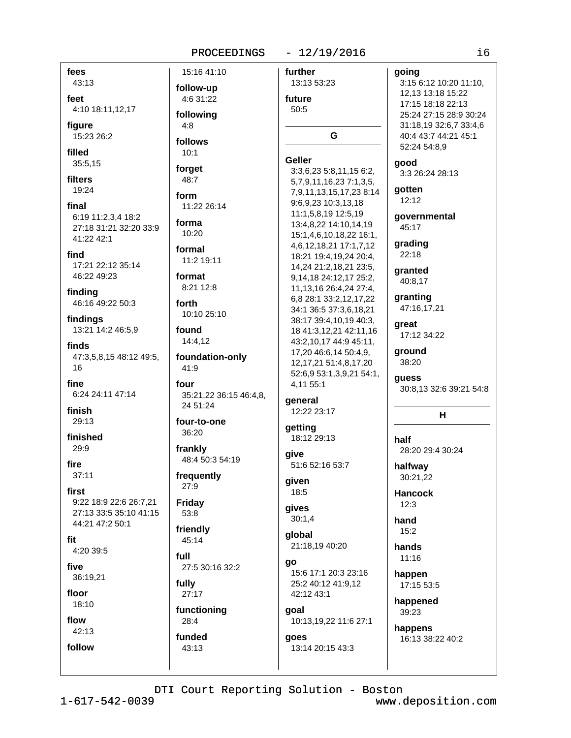#### PROCEEDINGS - 12/19/2016

| fees                        | 15:16 41:10            | further                     | going                   |
|-----------------------------|------------------------|-----------------------------|-------------------------|
| 43:13                       |                        | 13:13 53:23                 | 3:15 6:12 10:20 11:10,  |
|                             | follow-up              |                             | 12,13 13:18 15:22       |
| feet                        | 4:6 31:22              | future                      | 17:15 18:18 22:13       |
| 4:10 18:11,12,17            | following              | 50:5                        | 25:24 27:15 28:9 30:24  |
| figure                      | 4:8                    |                             | 31:18,19 32:6,7 33:4,6  |
| 15:23 26:2                  |                        | G                           | 40:4 43:7 44:21 45:1    |
|                             | follows                |                             | 52:24 54:8,9            |
| filled                      | 10:1                   | <b>Geller</b>               |                         |
| 35:5,15                     | forget                 | 3:3,6,23 5:8,11,15 6:2,     | good<br>3:3 26:24 28:13 |
| filters                     | 48:7                   | 5,7,9,11,16,23 7:1,3,5,     |                         |
| 19:24                       |                        | 7,9,11,13,15,17,238:14      | gotten                  |
|                             | form                   | 9:6,9,23 10:3,13,18         | 12:12                   |
| final                       | 11:22 26:14            | 11:1,5,8,19 12:5,19         |                         |
| 6:19 11:2,3,4 18:2          | forma                  | 13:4,8,22 14:10,14,19       | governmental<br>45:17   |
| 27:18 31:21 32:20 33:9      | 10:20                  | 15:1,4,6,10,18,22 16:1,     |                         |
| 41:22 42:1                  |                        | 4,6,12,18,21 17:1,7,12      | grading                 |
| find                        | formal                 | 18:21 19:4,19,24 20:4,      | 22:18                   |
| 17:21 22:12 35:14           | 11:2 19:11             | 14,24 21:2,18,21 23:5,      |                         |
| 46:22 49:23                 | format                 | 9,14,18 24:12,17 25:2,      | granted<br>40:8,17      |
|                             | 8:21 12:8              | 11, 13, 16 26: 4, 24 27: 4, |                         |
| finding<br>46:16 49:22 50:3 | forth                  | 6,8 28:1 33:2,12,17,22      | granting                |
|                             |                        | 34:1 36:5 37:3,6,18,21      | 47:16,17,21             |
| findings                    | 10:10 25:10            | 38:17 39:4,10,19 40:3,      | great                   |
| 13:21 14:2 46:5,9           | found                  | 18 41:3,12,21 42:11,16      | 17:12 34:22             |
| finds                       | 14:4,12                | 43:2,10,17 44:9 45:11,      |                         |
| 47:3,5,8,15 48:12 49:5,     | foundation-only        | 17,20 46:6,14 50:4,9,       | ground                  |
| 16                          | 41:9                   | 12, 17, 21 51: 4, 8, 17, 20 | 38:20                   |
|                             |                        | 52:6,9 53:1,3,9,21 54:1,    | guess                   |
| fine                        | four                   | 4,11 55:1                   | 30:8,13 32:6 39:21 54:8 |
| 6:24 24:11 47:14            | 35:21,22 36:15 46:4,8, | general                     |                         |
| finish                      | 24 51:24               | 12:22 23:17                 |                         |
| 29:13                       | four-to-one            |                             | H                       |
|                             | 36:20                  | getting                     |                         |
| finished                    |                        | 18:12 29:13                 | half                    |
| 29:9                        | frankly                | give                        | 28:20 29:4 30:24        |
| fire                        | 48:4 50:3 54:19        | 51:6 52:16 53:7             |                         |
| 37:11                       | frequently             |                             | halfway                 |
|                             | 27:9                   | given                       | 30:21,22                |
| first                       |                        | 18:5                        | <b>Hancock</b>          |
| 9:22 18:9 22:6 26:7,21      | <b>Friday</b>          | gives                       | 12:3                    |
| 27:13 33:5 35:10 41:15      | 53:8                   | 30:1,4                      | hand                    |
| 44:21 47:2 50:1             | friendly               |                             | 15:2                    |
| fit                         | 45:14                  | global                      |                         |
| 4:20 39:5                   |                        | 21:18,19 40:20              | hands                   |
|                             | full                   | go                          | 11:16                   |
| five                        | 27:5 30:16 32:2        | 15:6 17:1 20:3 23:16        | happen                  |
| 36:19,21                    | fully                  | 25:2 40:12 41:9,12          | 17:15 53:5              |
| floor                       | 27:17                  | 42:12 43:1                  |                         |
| 18:10                       |                        |                             | happened                |
| flow                        | functioning            | goal                        | 39:23                   |
| 42:13                       | 28:4                   | 10:13,19,22 11:6 27:1       | happens                 |
|                             | funded                 | goes                        | 16:13 38:22 40:2        |
| follow                      | 43:13                  | 13:14 20:15 43:3            |                         |
|                             |                        |                             |                         |
|                             |                        |                             |                         |
|                             |                        |                             |                         |

DTI Court Reporting Solution - Boston

 $1 - 617 - 542 - 0039$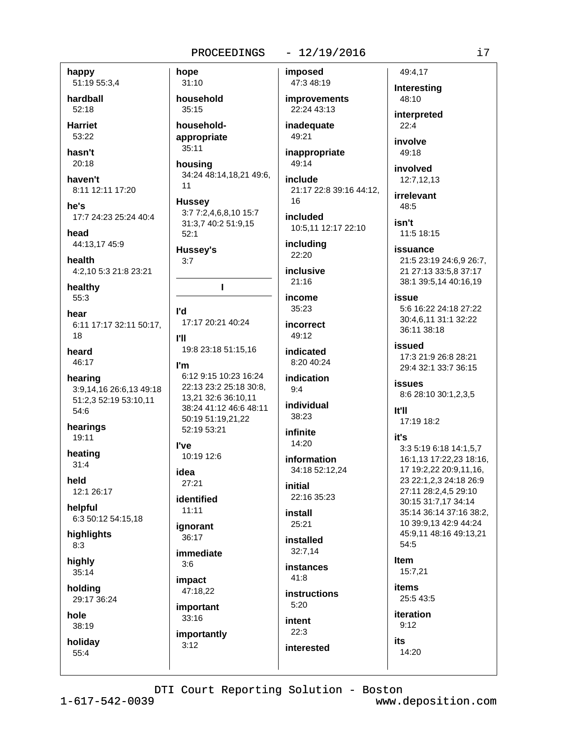#### happy 51:19 55:3,4

hardball 52:18

**Harriet** 53:22

hasn't  $20:18$ 

haven't 8:11 12:11 17:20

he's 17:7 24:23 25:24 40:4

head 44:13,17 45:9

health 4:2,10 5:3 21:8 23:21

healthy 55:3

hear 6:11 17:17 32:11 50:17. 18

heard 46:17

hearing 3:9,14,16 26:6,13 49:18 51:2,3 52:19 53:10,11 54:6

hearings 19:11

heating  $31:4$ 

held 12:1 26:17

helpful 6:3 50:12 54:15,18

highlights  $8:3$ 

highly 35:14

holding 29:17 36:24

hole 38:19

holiday  $55:4$ 

 $31:10$ household  $35:15$ householdappropriate  $35:11$ housing

hope

34:24 48:14,18,21 49:6,  $11$ 

**Hussey** 3:7 7:2,4,6,8,10 15:7 31:3,7 40:2 51:9,15  $52:1$ 

**Hussey's**  $3:7$ 

T

**I'd** 17:17 20:21 40:24

**PH** 19:8 23:18 51:15,16

I'm 6:12 9:15 10:23 16:24 22:13 23:2 25:18 30:8. 13,21 32:6 36:10,11 38:24 41:12 46:6 48:11 50:19 51:19,21,22 52:19 53:21

l've 10:19 12:6

idea  $27:21$ 

identified  $11:11$ 

ignorant 36:17

immediate  $3:6$ impact

47:18.22 important

 $33:16$ importantly  $3:12$ 

imposed

47:3 48:19 **improvements** 22:24 43:13

inadequate 49:21

inappropriate 49:14

include 21:17 22:8 39:16 44:12, 16

included 10:5,11 12:17 22:10

including 22:20

inclusive  $21.16$ 

income  $35:23$ 

incorrect 49:12

indicated 8:20 40:24

indication  $9:4$ 

individual 38:23

infinite 14:20

information 34:18 52:12.24

initial 22:16 35:23

install  $25:21$ 

installed 32:7.14

**instances**  $41:8$ 

instructions  $5:20$ intent

 $22:3$ 

interested

49:4,17 Interesting 48:10

i7

interpreted

involve

involved

irrelevant

48:5

11:5 18:15

issuance 21:5 23:19 24:6,9 26:7, 21 27:13 33:5,8 37:17

issue 5:6 16:22 24:18 27:22 30:4.6.11 31:1 32:22 36:11 38:18

issued

**issues** 8:6 28:10 30:1,2,3,5

It'll 17:19 18:2

it's

3:3 5:19 6:18 14:1.5.7 16:1,13 17:22,23 18:16, 17 19:2,22 20:9,11,16, 35:14 36:14 37:16 38:2,

**Item** 

items

 $9:12$ 

# $-12/19/2016$

 $22.4$ 

49:18

12:7,12,13

isn't

38:1 39:5,14 40:16,19

17:3 21:9 26:8 28:21 29:4 32:1 33:7 36:15

23 22:1,2,3 24:18 26:9 27:11 28:2,4,5 29:10 30:15 31:7,17 34:14 10 39:9,13 42:9 44:24 45:9,11 48:16 49:13,21  $54:5$ 

15:7.21

25:5 43:5

iteration

its 14:20

DTI Court Reporting Solution - Boston  $1 - 617 - 542 - 0039$ www.deposition.com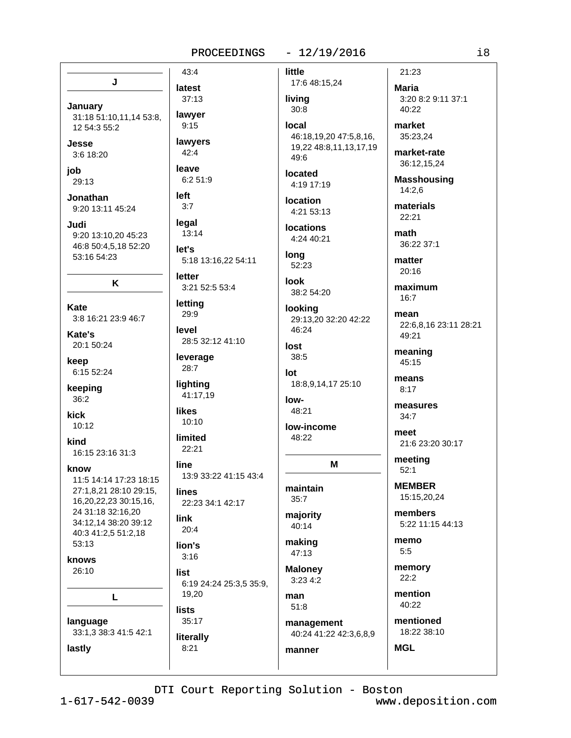#### $-12/19/2016$ PROCEEDINGS

# little

17:6 48:15,24 living  $30:8$ 

local 46:18,19,20 47:5,8,16, 19,22 48:8,11,13,17,19 49:6

located 4:19 17:19

**location** 4:21 53:13

**locations** 4:24 40:21

long 52:23

**look** 38:2 54:20

looking 29:13,20 32:20 42:22 46:24

```
lost
38:5
```
 $Int$ 18:8,9,14,17 25:10

```
low-
48:21
```
low-income 48:22

M

maintain  $35:7$ 

majority 40:14

making 47:13

**Maloney** 3:23 4:2

manner

man  $51:8$ management 40:24 41:22 42:3,6,8,9

memory

3:20 8:2 9:11 37:1 40:22

market 35:23,24

21:23

**Maria** 

market-rate 36:12,15,24

**Masshousing**  $14:2,6$ 

materials 22:21

math 36:22 37:1

matter  $20:16$ 

maximum  $16:7$ 

mean 22:6.8.16 23:11 28:21 49:21

meaning 45:15

means  $8:17$ 

measures  $34:7$ 

meet 21:6 23:20 30:17

meeting  $52:1$ 

**MEMBER** 15:15,20,24

members 5:22 11:15 44:13

memo  $5:5$ 

 $22:2$ 

mention 40:22

mentioned 18:22 38:10

**MGL** 

 $43:4$ latest  $37:13$ 

lawver

 $9:15$ 

lawyers

 $6:251:9$ 

 $42:4$ 

leave

left

 $3:7$ 

legal

let's

letter

letting

29:9

leverage

28:7

likes

lighting

 $10:10$ 

limited

22:21

13:9 33:22 41:15 43:4

22:23 34:1 42:17

line

**lines** 

link

 $20:4$ 

lion's

 $3:16$ 

41:17,19

level

 $13:14$ 

5:18 13:16,22 54:11

3:21 52:5 53:4

28:5 32:12 41:10

January 31:18 51:10,11,14 53:8, 12 54:3 55:2

J

Jesse 3:6 18:20

iob  $29:13$ 

Jonathan 9:20 13:11 45:24

Judi 9:20 13:10,20 45:23 46:8 50:4,5,18 52:20 53:16 54:23

K

**Kate** 3:8 16:21 23:9 46:7

Kate's 20:1 50:24

keep 6:15 52:24

keeping  $36:2$ 

kick  $10:12$ 

kind 16:15 23:16 31:3

know

11:5 14:14 17:23 18:15 27:1,8,21 28:10 29:15, 16,20,22,23 30:15,16, 24 31:18 32:16,20 34:12,14 38:20 39:12 40:3 41:2,5 51:2,18 53:13

knows 26:10

lastly

г

language 33:1,3 38:3 41:5 42:1 list 6:19 24:24 25:3,5 35:9, 19,20 **lists** 35:17 literally

 $8:21$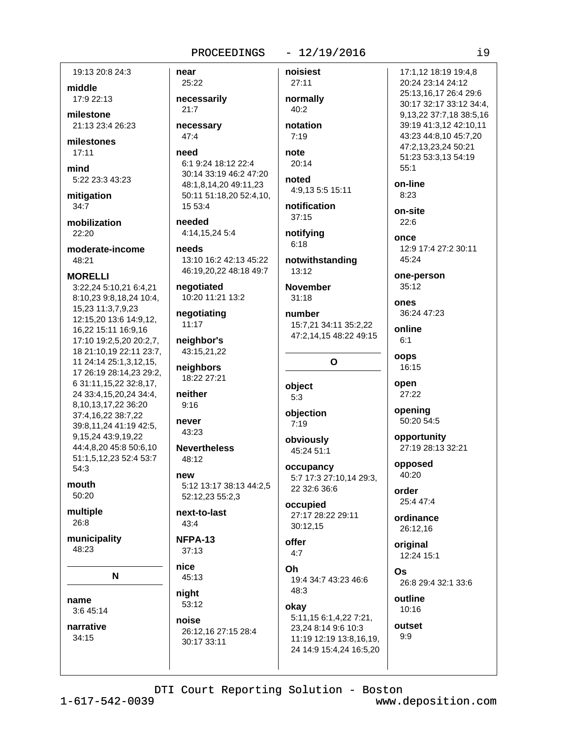#### $-12/19/2016$ PROCEEDINGS

19:13 20:8 24:3

middle 17:9 22:13

milestone 21:13 23:4 26:23

milestones  $17:11$ 

mind 5:22 23:3 43:23

mitigation  $34:7$ 

mobilization  $22.20$ 

moderate-income  $48.21$ 

**MORELLI** 3:22,24 5:10,21 6:4,21 8:10,23 9:8,18,24 10:4, 15,23 11:3,7,9,23 12:15,20 13:6 14:9,12, 16,22 15:11 16:9,16 17:10 19:2,5,20 20:2,7, 18 21:10,19 22:11 23:7, 11 24:14 25:1,3,12,15, 17 26:19 28:14,23 29:2, 6 31:11, 15, 22 32:8, 17, 24 33:4, 15, 20, 24 34:4, 8,10,13,17,22 36:20 37:4,16,22 38:7,22 39:8,11,24 41:19 42:5, 9,15,24 43:9,19,22 44:4,8,20 45:8 50:6,10 51:1,5,12,23 52:4 53:7 54:3

mouth  $50.20$ 

multiple 26:8

municipality 48:23

N

name 3:6 45:14

narrative  $34:15$ 

near 25:22 necessarily  $21:7$ necessary 47:4

need 6:1 9:24 18:12 22:4 30:14 33:19 46:2 47:20

48:1,8,14,20 49:11,23 50:11 51:18,20 52:4,10, 15 53:4

needed 4:14,15,24 5:4

needs 13:10 16:2 42:13 45:22 46:19,20,22 48:18 49:7

negotiated 10:20 11:21 13:2

negotiating  $11:17$ 

neighbor's 43:15,21,22

neighbors 18:22 27:21

neither  $9:16$ 

never 43:23

**Nevertheless**  $48:12$ 

**new** 5:12 13:17 38:13 44:2,5 52:12,23 55:2,3

next-to-last 43:4

NFPA-13  $37:13$ 

nice 45:13

night 53:12

noise 26:12,16 27:15 28:4 30:17 33:11

27:11 normally  $40:2$ 

noisiest

notation  $7:19$ note

 $20:14$ noted

4:9,13 5:5 15:11 notification

notifying  $6:18$ 

 $37:15$ 

notwithstanding  $13:12$ 

**November**  $31:18$ 

```
number
15:7.21 34:11 35:2.22
47:2,14,15 48:22 49:15
```
O

```
object
5:3
```
objection  $7:19$ 

obviously 45:24 51:1

occupancy 5:7 17:3 27:10,14 29:3, 22 32:6 36:6

occupied 27:17 28:22 29:11 30:12,15

offer  $4:7$ 

Oh 19:4 34:7 43:23 46:6 48:3

okay 5:11.15 6:1.4.22 7:21. 23.24 8:14 9:6 10:3 11:19 12:19 13:8,16,19, 24 14:9 15:4,24 16:5,20

 $55:1$ on-line  $8:23$ on-site  $22:6$ once 12:9 17:4 27:2 30:11  $45.24$ one-person  $35:12$ ones 36:24 47:23 online  $6:1$ oops 16:15

open 27:22

opening 50:20 54:5

opportunity 27:19 28:13 32:21

opposed 40:20

order 25:4 47:4

ordinance 26:12,16

original 12:24 15:1

Os 26:8 29:4 32:1 33:6

outline  $10:16$ 

outset  $9.9$ 

DTI Court Reporting Solution - Boston

17:1.12 18:19 19:4.8

25:13,16,17 26:4 29:6

30:17 32:17 33:12 34:4,

9,13,22 37:7,18 38:5,16

39:19 41:3,12 42:10,11 43:23 44:8,10 45:7,20

47:2,13,23,24 50:21

51:23 53:3,13 54:19

20:24 23:14 24:12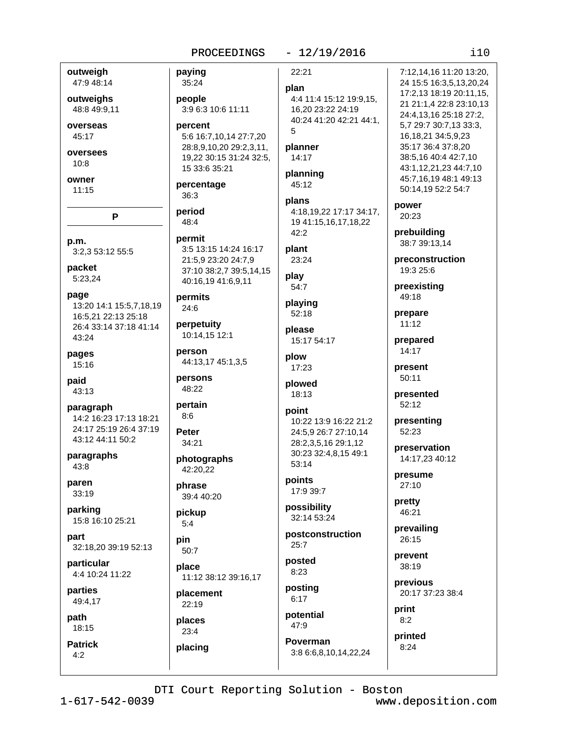#### PROCEEDINGS - 12/19/2016

 $i10$ 

| outweigh                | paying                  | 22:21                   | 7:12,14,16 11:20 13:20, |
|-------------------------|-------------------------|-------------------------|-------------------------|
| 47:9 48:14              | 35:24                   | plan                    | 24 15:5 16:3,5,13,20,24 |
| outweighs               | people                  | 4:4 11:4 15:12 19:9,15, | 17:2,13 18:19 20:11,15, |
| 48:8 49:9,11            | 3:9 6:3 10:6 11:11      | 16,20 23:22 24:19       | 21 21:1,4 22:8 23:10,13 |
|                         |                         | 40:24 41:20 42:21 44:1, | 24:4,13,16 25:18 27:2,  |
| overseas                | percent                 | 5                       | 5,7 29:7 30:7,13 33:3,  |
| 45:17                   | 5:6 16:7,10,14 27:7,20  |                         | 16, 18, 21 34: 5, 9, 23 |
| oversees                | 28:8,9,10,20 29:2,3,11, | planner                 | 35:17 36:4 37:8,20      |
| 10:8                    | 19,22 30:15 31:24 32:5, | 14:17                   | 38:5,16 40:4 42:7,10    |
|                         | 15 33:6 35:21           | planning                | 43:1,12,21,23 44:7,10   |
| owner                   | percentage              | 45:12                   | 45:7,16,19 48:1 49:13   |
| 11:15                   | 36:3                    |                         | 50:14,19 52:2 54:7      |
|                         |                         | plans                   | power                   |
| P                       | period                  | 4:18,19,22 17:17 34:17, | 20:23                   |
|                         | 48:4                    | 19 41:15,16,17,18,22    |                         |
|                         | permit                  | 42:2                    | prebuilding             |
| p.m.                    | 3:5 13:15 14:24 16:17   | plant                   | 38:7 39:13,14           |
| 3:2,3 53:12 55:5        | 21:5,9 23:20 24:7,9     | 23:24                   | preconstruction         |
| packet                  |                         |                         | 19:3 25:6               |
| 5:23,24                 | 37:10 38:2,7 39:5,14,15 | play                    |                         |
|                         | 40:16,19 41:6,9,11      | 54:7                    | preexisting             |
| page                    | permits                 |                         | 49:18                   |
| 13:20 14:1 15:5,7,18,19 | 24:6                    | playing<br>52:18        |                         |
| 16:5,21 22:13 25:18     |                         |                         | prepare<br>11:12        |
| 26:4 33:14 37:18 41:14  | perpetuity              | please                  |                         |
| 43:24                   | 10:14,15 12:1           | 15:17 54:17             | prepared                |
| pages                   | person                  |                         | 14:17                   |
| 15:16                   | 44:13,17 45:1,3,5       | plow                    |                         |
|                         |                         | 17:23                   | present                 |
| paid                    | persons                 | plowed                  | 50:11                   |
| 43:13                   | 48:22                   | 18:13                   | presented               |
| paragraph               | pertain                 |                         | 52:12                   |
| 14:2 16:23 17:13 18:21  | 8:6                     | point                   |                         |
| 24:17 25:19 26:4 37:19  |                         | 10:22 13:9 16:22 21:2   | presenting              |
| 43:12 44:11 50:2        | Peter                   | 24:5,9 26:7 27:10,14    | 52:23                   |
|                         | 34:21                   | 28:2,3,5,16 29:1,12     | preservation            |
| paragraphs              | photographs             | 30:23 32:4,8,15 49:1    | 14:17,23 40:12          |
| 43:8                    | 42:20,22                | 53:14                   |                         |
|                         |                         | points                  | presume                 |
| paren<br>33:19          | phrase                  | 17:9 39:7               | 27:10                   |
|                         | 39:4 40:20              |                         | pretty                  |
| parking                 | pickup                  | possibility             | 46:21                   |
| 15:8 16:10 25:21        | 5:4                     | 32:14 53:24             |                         |
|                         |                         | postconstruction        | prevailing              |
| part                    | pin                     | 25:7                    | 26:15                   |
| 32:18,20 39:19 52:13    | 50:7                    |                         | prevent                 |
| particular              | place                   | posted                  | 38:19                   |
| 4:4 10:24 11:22         | 11:12 38:12 39:16,17    | 8:23                    |                         |
|                         |                         | posting                 | previous                |
| parties                 | placement               | 6:17                    | 20:17 37:23 38:4        |
| 49:4,17                 | 22:19                   |                         | print                   |
| path                    | places                  | potential               | 8:2                     |
| 18:15                   | 23:4                    | 47:9                    |                         |
|                         |                         | Poverman                | printed                 |
| <b>Patrick</b>          | placing                 |                         | 8:24                    |
| 4:2                     |                         | 3:8 6:6,8,10,14,22,24   |                         |

DTI Court Reporting Solution - Boston

 $1 - 617 - 542 - 0039$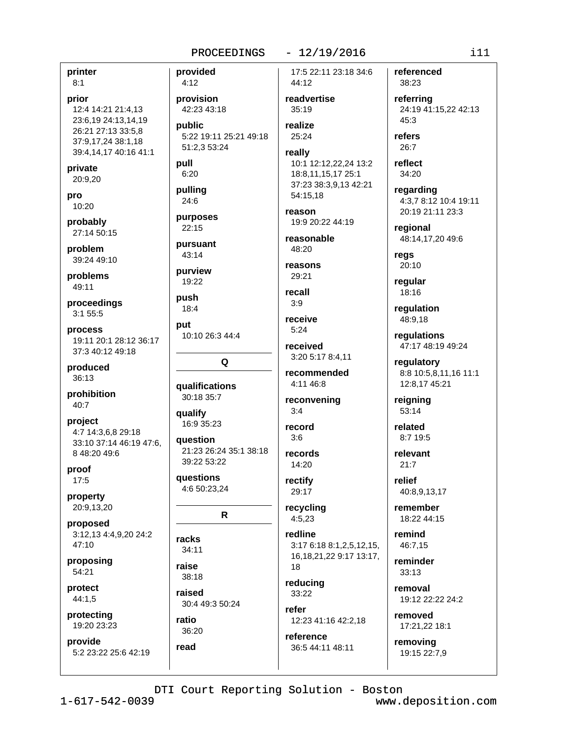printer  $8:1$ 

prior 12:4 14:21 21:4,13 23:6,19 24:13,14,19 26:21 27:13 33:5,8 37:9,17,24 38:1,18 39:4,14,17 40:16 41:1

private 20:9,20

pro 10:20

probably 27:14 50:15

problem 39:24 49:10

problems 49:11

proceedings 3:1 55:5

process 19:11 20:1 28:12 36:17 37:3 40:12 49:18

produced 36:13

prohibition 40:7

project 4:7 14:3,6,8 29:18 33:10 37:14 46:19 47:6. 8 48:20 49:6

proof  $17:5$ 

property 20:9,13,20

proposed 3:12,13 4:4,9,20 24:2 47:10

proposing 54:21

protect  $44:1,5$ 

protecting 19:20 23:23

provide 5:2 23:22 25:6 42:19 provided  $4:12$ provision 42:23 43:18 public realize 5:22 19:11 25:21 49:18 51:2,3 53:24 pull  $6:20$ pulling 24:6 purposes  $22:15$ pursuant 43:14 purview  $19.22$ push  $18:4$ put 10:10 26:3 44:4 Q **qualifications** 30:18 35:7 qualify 16:9 35:23 **auestion** 21:23 26:24 35:1 38:18 39:22 53:22 questions

4:6 50:23,24

 $\mathbf R$ 

racks  $34:11$ 

raise 38:18

raised  $30.449.350.24$ 

ratio 36:20 read

17:5 22:11 23:18 34:6 44:12

 $-12/19/2016$ 

readvertise  $35:19$ 

25:24

#### really 10:1 12:12,22,24 13:2 18:8,11,15,17 25:1 37:23 38:3,9,13 42:21 54:15,18

reason 19:9 20:22 44:19

reasonable  $48:20$ 

reasons 29:21

recall  $3:9$ 

receive  $5:24$ 

received 3:20 5:17 8:4.11

recommended 4:11 46:8

reconvening  $3:4$ 

record  $3:6$ 

records 14:20

rectify 29:17

recycling  $4:5,23$ 

redline 3:17 6:18 8:1,2,5,12,15, 16, 18, 21, 22 9: 17 13: 17, 18

reducing 33:22

refer 12:23 41:16 42:2.18

reference 36:5 44:11 48:11 referenced 38:23

> referring 24:19 41:15.22 42:13  $45:3$

refers  $26:7$ 

reflect 34:20

regarding 4:3,7 8:12 10:4 19:11 20:19 21:11 23:3

regional 48:14,17,20 49:6

regs 20:10

regular 18:16

regulation 48:9,18

regulations 47:17 48:19 49:24

regulatory 8:8 10:5,8,11,16 11:1 12:8,17 45:21

reigning 53:14

8:7 19:5 relevant

 $21:7$ 

related

relief 40:8,9,13,17

remember 18:22 44:15

remind 46:7.15

reminder  $33:13$ 

removal 19:12 22:22 24:2

removed 17:21,22 18:1

removing 19:15 22:7,9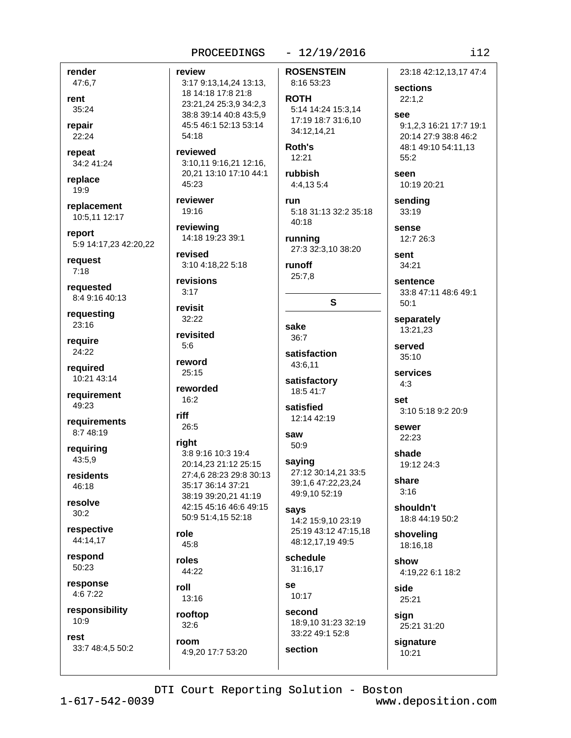## render

47:6,7 rent 35:24

repair 22:24

repeat 34:2 41:24

replace 19:9

replacement 10:5.11 12:17

report 5:9 14:17,23 42:20,22

request  $7:18$ 

requested 8:4 9:16 40:13

requesting  $23:16$ 

require 24:22

reauired 10:21 43:14

requirement 49:23

requirements 8:7 48:19

requiring 43:5.9

residents  $46.18$ 

resolve  $30:2$ 

respective 44:14.17

respond 50:23

response 4:6 7:22

responsibility  $10:9$ 

rest 33:7 48:4,5 50:2 review 3:17 9:13,14,24 13:13, 18 14:18 17:8 21:8 23:21,24 25:3,9 34:2,3 38:8 39:14 40:8 43:5.9 45:5 46:1 52:13 53:14

reviewed 3:10.11 9:16.21 12:16. 20,21 13:10 17:10 44:1 45:23

reviewer 19:16

 $54:18$ 

reviewing 14:18 19:23 39:1

revised 3:10 4:18,22 5:18

revisions  $3:17$ 

revisit 32:22

revisited

reword 25:15

 $5:6$ 

reworded

 $16:2$ riff

26:5 riaht

#### 3:8 9:16 10:3 19:4 20:14,23 21:12 25:15 27:4,6 28:23 29:8 30:13 35:17 36:14 37:21 38:19 39:20,21 41:19 42:15 45:16 46:6 49:15 50:9 51:4,15 52:18

role  $45:8$ 

roles 44:22

roll  $13:16$ 

rooftop  $32:6$ room

4:9,20 17:7 53:20

### $-12/19/2016$

**ROSENSTEIN** 

### 8:16 53:23 **ROTH** 5:14 14:24 15:3.14

17:19 18:7 31:6.10 34:12,14,21 Roth's

 $12:21$ 

rubbish 4:4,135:4

run 5:18 31:13 32:2 35:18

 $40:18$ running 27:3 32:3,10 38:20

runoff  $25:7.8$ 

 $\mathbf{s}$ 

sake  $36:7$ 

satisfaction 43:6.11

satisfactory 18:5 41:7

satisfied 12:14 42:19

saw 50:9

saying 27:12 30:14,21 33:5 39:1.6 47:22,23,24 49:9,10 52:19

says 14:2 15:9,10 23:19 25:19 43:12 47:15,18 48:12,17,19 49:5

schedule 31:16.17

**Se** 10:17

section

second 18:9.10 31:23 32:19 33:22 49:1 52:8

signature

23:18 42:12.13.17 47:4

sections  $22:1,2$ 

see 9:1.2.3 16:21 17:7 19:1 20:14 27:9 38:8 46:2 48:1 49:10 54:11,13  $55:2$ 

seen 10:19 20:21

sending 33:19

sense 12:7 26:3

sent 34:21

sentence 33:8 47:11 48:6 49:1  $50:1$ 

separately 13:21,23

served  $35:10$ 

services  $4:3$ 

set 3:10 5:18 9:2 20:9

SAWAR 22:23

shade 19:12 24:3

share  $3:16$ 

shouldn't 18:8 44:19 50:2

shoveling 18:16.18

show 4:19.22 6:1 18:2

side 25:21

sign 25:21 31:20

 $10:21$ 

DTI Court Reporting Solution - Boston

www.deposition.com

 $112$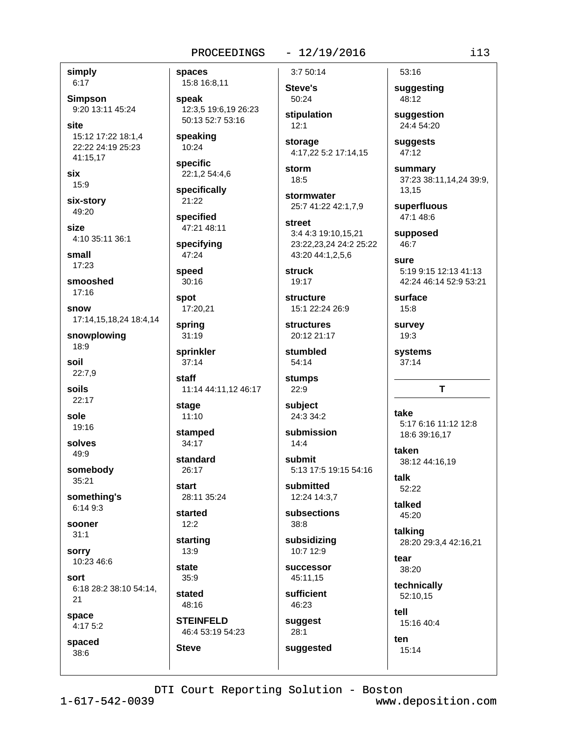#### $-12/19/2016$

simply  $6:17$ 

**Simpson** 9:20 13:11 45:24

site 15:12 17:22 18:1,4 22:22 24:19 25:23 41:15.17

six

15:9

six-story 49:20

**Size** 4:10 35:11 36:1

small 17:23

smooshed  $17:16$ 

snow 17:14,15,18,24 18:4,14

snowplowing 18:9

soil 22:7,9

soils

 $22:17$ sole

19:16

solves 49:9

somebody 35:21

something's

6:14 9:3 sooner

 $31:1$ 

sorry 10:23 46:6

sort 6:18 28:2 38:10 54:14,

21

space  $4:175:2$ 

spaced

 $38:6$ 

spaces 15:8 16:8,11

speak 12:3,5 19:6,19 26:23 50:13 52:7 53:16

speaking 10:24

specific 22:1,2 54:4,6

specifically 21:22

specified 47:21 48:11

specifying 47:24

speed  $30:16$ 

spot 17:20,21

spring  $31:19$ 

sprinkler  $37:14$ 

staff 11:14 44:11,12 46:17

stage  $11:10$ 

stamped  $34:17$ 

standard 26:17

start

28:11 35:24 started

 $12:2$ starting

 $13:9$ 

state  $35:9$ 

stated 48:16

**STEINFELD** 46:4 53:19 54:23

**Steve** 

 $3:750:14$ **Steve's** 

 $12:1$ 

50:24 stipulation

storage 4:17,22 5:2 17:14,15

storm  $18:5$ 

stormwater 25:7 41:22 42:1.7.9

street 3:4 4:3 19:10,15,21 23:22,23,24 24:2 25:22 43:20 44:1,2,5,6

**struck**  $19.17$ 

structure 15:1 22:24 26:9

**structures** 20:12 21:17

stumbled  $54:14$ 

stumps  $22:9$ 

subject 24:3 34:2

submission  $14:4$ 

submit 5:13 17:5 19:15 54:16

submitted 12:24 14:3,7

subsections 38:8

subsidizing 10:7 12:9

**successor** 45:11.15

sufficient 46:23

suggested

suggest  $28:1$ 

suggesting 48:12

53:16

suggestion 24:4 54:20

suggests 47:12

summary 37:23 38:11,14,24 39:9, 13,15

superfluous 47:1 48:6

supposed 46:7

sure 5:19 9:15 12:13 41:13 42:24 46:14 52:9 53:21

surface  $15:8$ 

survev 19:3

systems  $37:14$ 

#### T

take 5:17 6:16 11:12 12:8 18:6 39:16,17

taken 38:12 44:16,19

talk  $52:22$ 

talked 45:20

talking 28:20 29:3,4 42:16,21

tear 38:20

technically 52:10.15

tell 15:16 40:4

15:14

ten

DTI Court Reporting Solution - Boston

 $i13$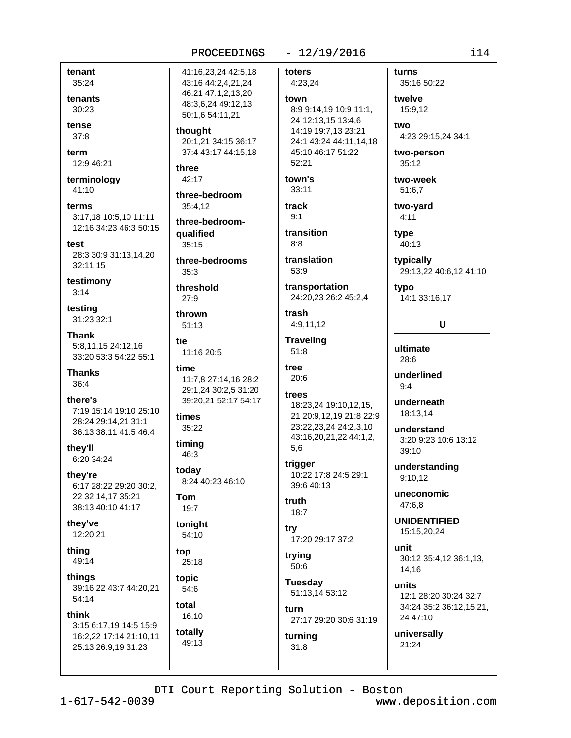### $-12/19/2016$

tenant 35:24

tenants 30:23

tense  $37:8$ 

term 12:9 46:21

terminology 41:10

terms 3:17.18 10:5.10 11:11 12:16 34:23 46:3 50:15

test 28:3 30:9 31:13,14,20 32:11,15

testimony  $3:14$ 

testing 31:23 32:1

**Thank** 5:8,11,15 24:12,16 33:20 53:3 54:22 55:1

**Thanks** 36:4

there's 7:19 15:14 19:10 25:10 28:24 29:14,21 31:1 36:13 38:11 41:5 46:4

they'll 6:20 34:24

they're 6:17 28:22 29:20 30:2, 22 32:14,17 35:21 38:13 40:10 41:17

they've 12:20,21

thing 49:14

things 39:16,22 43:7 44:20,21 54:14

#### think

3:15 6:17,19 14:5 15:9 16:2,22 17:14 21:10,11 25:13 26:9,19 31:23

41:16,23,24 42:5,18 43:16 44:2,4,21,24 46:21 47:1,2,13,20 48:3.6.24 49:12.13 50:1.6 54:11.21

thought 20:1,21 34:15 36:17 37:4 43:17 44:15,18

three 42:17

three-bedroom 35:4.12

three-bedroomqualified  $35.15$ 

three-bedrooms  $35:3$ 

threshold  $27:9$ 

thrown  $51:13$ 

tie 11:16 20:5

#### time 11:7,8 27:14,16 28:2 29:1,24 30:2,5 31:20

39:20,21 52:17 54:17

times 35:22

timina 46:3

today 8:24 40:23 46:10

#### **Tom** 19:7

toniaht 54:10

top 25:18

topic 54:6 total

16:10 totally  $49.13$  toters 4:23,24 town 8:9 9:14,19 10:9 11:1, 24 12:13,15 13:4,6 14:19 19:7,13 23:21 24:1 43:24 44:11,14,18 45:10 46:17 51:22  $52:21$ town's  $33:11$ 

track  $9:1$ 

transition  $8:8$ 

translation 53:9

transportation 24:20,23 26:2 45:2,4

trash 4:9,11,12

**Traveling**  $51:8$ 

tree 20:6

# trees

18:23,24 19:10,12,15, 21 20:9,12,19 21:8 22:9 23:22,23,24 24:2,3,10 43:16,20,21,22 44:1,2, 5,6

trigger 10:22 17:8 24:5 29:1 39:640:13

#### truth  $18:7$

try 17:20 29:17 37:2

trying 50:6

 $31:8$ 

**Tuesday** 51:13,14 53:12

furn 27:17 29:20 30:6 31:19 turning

turns 35:16 50:22

twelve 15:9.12 two

4:23 29:15,24 34:1

two-person  $35:12$ 

two-week 51:6,7

two-vard  $4:11$ 

type 40:13

typically 29:13,22 40:6,12 41:10

typo 14:1 33:16,17

### U

ultimate 28:6

underlined  $9:4$ 

underneath 18:13,14

understand 3:20 9:23 10:6 13:12  $39:10$ 

understanding  $9:10,12$ 

uneconomic 47:6.8

**UNIDENTIFIED** 15:15,20,24

unit 30:12 35:4,12 36:1,13, 14,16

units 12:1 28:20 30:24 32:7 34:24 35:2 36:12,15,21, 24 47:10

universally 21:24